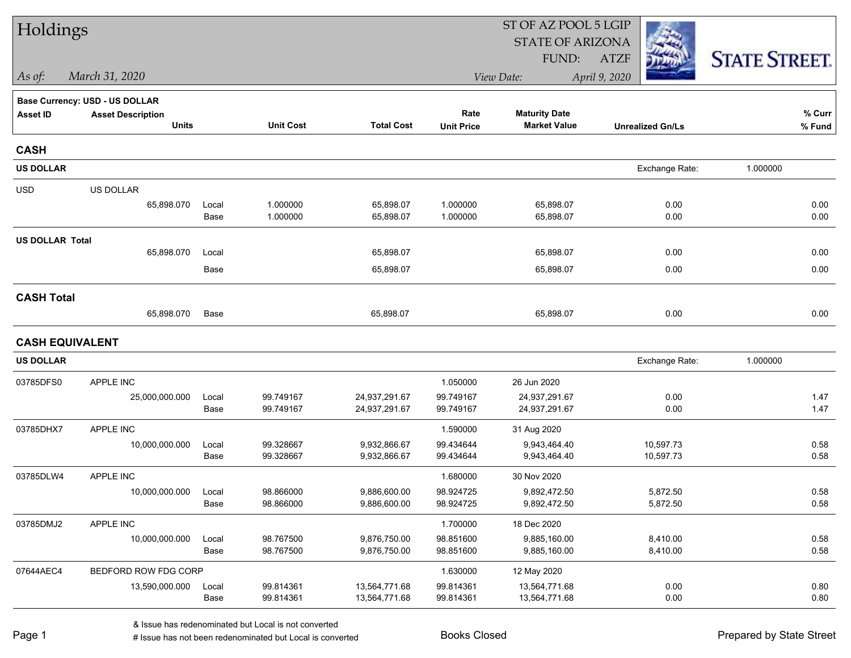| Holdings               |                                       |               |                        |                              | ST OF AZ POOL 5 LGIP   |                              |                         |                      |  |  |
|------------------------|---------------------------------------|---------------|------------------------|------------------------------|------------------------|------------------------------|-------------------------|----------------------|--|--|
|                        |                                       |               |                        |                              |                        | <b>STATE OF ARIZONA</b>      |                         |                      |  |  |
|                        |                                       |               |                        |                              |                        | FUND:                        | <b>ATZF</b>             | <b>STATE STREET.</b> |  |  |
| As of:                 | March 31, 2020                        |               |                        |                              |                        | View Date:                   | April 9, 2020           |                      |  |  |
|                        | <b>Base Currency: USD - US DOLLAR</b> |               |                        |                              |                        |                              |                         |                      |  |  |
| <b>Asset ID</b>        | <b>Asset Description</b>              |               |                        | <b>Total Cost</b>            | Rate                   | <b>Maturity Date</b>         |                         | % Curr               |  |  |
|                        | <b>Units</b>                          |               | <b>Unit Cost</b>       |                              | <b>Unit Price</b>      | <b>Market Value</b>          | <b>Unrealized Gn/Ls</b> | % Fund               |  |  |
| <b>CASH</b>            |                                       |               |                        |                              |                        |                              |                         |                      |  |  |
| <b>US DOLLAR</b>       |                                       |               |                        |                              |                        |                              | Exchange Rate:          | 1.000000             |  |  |
| <b>USD</b>             | US DOLLAR                             |               |                        |                              |                        |                              |                         |                      |  |  |
|                        | 65,898.070                            | Local         | 1.000000               | 65,898.07                    | 1.000000               | 65,898.07                    | 0.00                    | 0.00                 |  |  |
|                        |                                       | Base          | 1.000000               | 65,898.07                    | 1.000000               | 65,898.07                    | 0.00                    | 0.00                 |  |  |
| <b>US DOLLAR Total</b> |                                       |               |                        |                              |                        |                              |                         |                      |  |  |
|                        | 65,898.070                            | Local         |                        | 65,898.07                    |                        | 65,898.07                    | 0.00                    | 0.00                 |  |  |
|                        |                                       | Base          |                        | 65,898.07                    |                        | 65,898.07                    | 0.00                    | 0.00                 |  |  |
| <b>CASH Total</b>      |                                       |               |                        |                              |                        |                              |                         |                      |  |  |
|                        | 65,898.070                            | Base          |                        | 65,898.07                    |                        | 65,898.07                    | 0.00                    | 0.00                 |  |  |
| <b>CASH EQUIVALENT</b> |                                       |               |                        |                              |                        |                              |                         |                      |  |  |
| <b>US DOLLAR</b>       |                                       |               |                        |                              |                        |                              | Exchange Rate:          | 1.000000             |  |  |
| 03785DFS0              | APPLE INC                             |               |                        |                              | 1.050000               | 26 Jun 2020                  |                         |                      |  |  |
|                        | 25,000,000.000                        | Local         | 99.749167              | 24,937,291.67                | 99.749167              | 24,937,291.67                | 0.00                    | 1.47                 |  |  |
|                        |                                       | Base          | 99.749167              | 24,937,291.67                | 99.749167              | 24,937,291.67                | 0.00                    | 1.47                 |  |  |
| 03785DHX7              | APPLE INC                             |               |                        |                              | 1.590000               | 31 Aug 2020                  |                         |                      |  |  |
|                        | 10,000,000.000                        | Local         | 99.328667              | 9,932,866.67                 | 99.434644              | 9,943,464.40                 | 10,597.73               | 0.58                 |  |  |
|                        |                                       | Base          | 99.328667              | 9,932,866.67                 | 99.434644              | 9,943,464.40                 | 10,597.73               | 0.58                 |  |  |
| 03785DLW4              | APPLE INC                             |               |                        |                              | 1.680000               | 30 Nov 2020                  |                         |                      |  |  |
|                        | 10,000,000.000                        | Local<br>Base | 98.866000<br>98.866000 | 9,886,600.00<br>9,886,600.00 | 98.924725<br>98.924725 | 9,892,472.50<br>9,892,472.50 | 5,872.50<br>5,872.50    | 0.58<br>0.58         |  |  |
| 03785DMJ2              | APPLE INC                             |               |                        |                              | 1.700000               | 18 Dec 2020                  |                         |                      |  |  |
|                        | 10,000,000.000                        | Local         | 98.767500              | 9,876,750.00                 | 98.851600              | 9,885,160.00                 | 8,410.00                | 0.58                 |  |  |
|                        |                                       | Base          | 98.767500              | 9,876,750.00                 | 98.851600              | 9,885,160.00                 | 8,410.00                | 0.58                 |  |  |
| 07644AEC4              | BEDFORD ROW FDG CORP                  |               |                        |                              | 1.630000               | 12 May 2020                  |                         |                      |  |  |
|                        | 13,590,000.000                        | Local         | 99.814361              | 13,564,771.68                | 99.814361              | 13,564,771.68                | 0.00                    | 0.80                 |  |  |
|                        |                                       | Base          | 99.814361              | 13,564,771.68                | 99.814361              | 13,564,771.68                | 0.00                    | 0.80                 |  |  |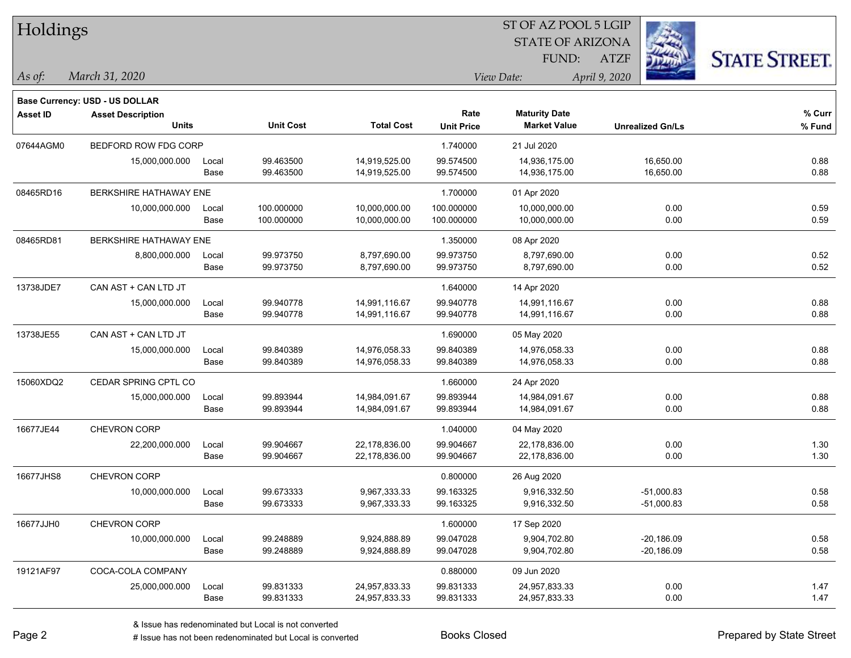| Holdings        |                                       |       |                  |                   |                   | ST OF AZ POOL 5 LGIP    |                         |                      |
|-----------------|---------------------------------------|-------|------------------|-------------------|-------------------|-------------------------|-------------------------|----------------------|
|                 |                                       |       |                  |                   |                   | <b>STATE OF ARIZONA</b> |                         |                      |
|                 |                                       |       |                  |                   |                   | FUND:                   | <b>ATZF</b>             | <b>STATE STREET.</b> |
| As of:          | March 31, 2020                        |       |                  |                   |                   | View Date:              | April 9, 2020           |                      |
|                 | <b>Base Currency: USD - US DOLLAR</b> |       |                  |                   |                   |                         |                         |                      |
| <b>Asset ID</b> | <b>Asset Description</b>              |       |                  |                   | Rate              | <b>Maturity Date</b>    |                         | % Curr               |
|                 | <b>Units</b>                          |       | <b>Unit Cost</b> | <b>Total Cost</b> | <b>Unit Price</b> | <b>Market Value</b>     | <b>Unrealized Gn/Ls</b> | $%$ Fund             |
| 07644AGM0       | BEDFORD ROW FDG CORP                  |       |                  |                   | 1.740000          | 21 Jul 2020             |                         |                      |
|                 | 15,000,000.000                        | Local | 99.463500        | 14,919,525.00     | 99.574500         | 14,936,175.00           | 16,650.00               | 0.88                 |
|                 |                                       | Base  | 99.463500        | 14,919,525.00     | 99.574500         | 14,936,175.00           | 16,650.00               | 0.88                 |
| 08465RD16       | BERKSHIRE HATHAWAY ENE                |       |                  |                   | 1.700000          | 01 Apr 2020             |                         |                      |
|                 | 10,000,000.000                        | Local | 100.000000       | 10,000,000.00     | 100.000000        | 10,000,000.00           | 0.00                    | 0.59                 |
|                 |                                       | Base  | 100.000000       | 10,000,000.00     | 100.000000        | 10,000,000.00           | 0.00                    | 0.59                 |
| 08465RD81       | <b>BERKSHIRE HATHAWAY ENE</b>         |       |                  |                   | 1.350000          | 08 Apr 2020             |                         |                      |
|                 | 8,800,000.000                         | Local | 99.973750        | 8,797,690.00      | 99.973750         | 8,797,690.00            | 0.00                    | 0.52                 |
|                 |                                       | Base  | 99.973750        | 8,797,690.00      | 99.973750         | 8,797,690.00            | 0.00                    | 0.52                 |
| 13738JDE7       | CAN AST + CAN LTD JT                  |       |                  |                   | 1.640000          | 14 Apr 2020             |                         |                      |
|                 | 15,000,000.000                        | Local | 99.940778        | 14,991,116.67     | 99.940778         | 14,991,116.67           | 0.00                    | 0.88                 |
|                 |                                       | Base  | 99.940778        | 14,991,116.67     | 99.940778         | 14,991,116.67           | 0.00                    | 0.88                 |
| 13738JE55       | CAN AST + CAN LTD JT                  |       |                  |                   | 1.690000          | 05 May 2020             |                         |                      |
|                 | 15,000,000.000                        | Local | 99.840389        | 14,976,058.33     | 99.840389         | 14,976,058.33           | 0.00                    | 0.88                 |
|                 |                                       | Base  | 99.840389        | 14,976,058.33     | 99.840389         | 14,976,058.33           | 0.00                    | 0.88                 |
| 15060XDQ2       | CEDAR SPRING CPTL CO                  |       |                  |                   | 1.660000          | 24 Apr 2020             |                         |                      |
|                 | 15,000,000.000                        | Local | 99.893944        | 14,984,091.67     | 99.893944         | 14,984,091.67           | 0.00                    | 0.88                 |
|                 |                                       | Base  | 99.893944        | 14,984,091.67     | 99.893944         | 14,984,091.67           | 0.00                    | 0.88                 |
| 16677JE44       | CHEVRON CORP                          |       |                  |                   | 1.040000          | 04 May 2020             |                         |                      |
|                 | 22,200,000.000                        | Local | 99.904667        | 22,178,836.00     | 99.904667         | 22,178,836.00           | 0.00                    | 1.30                 |
|                 |                                       | Base  | 99.904667        | 22,178,836.00     | 99.904667         | 22,178,836.00           | 0.00                    | 1.30                 |
| 16677JHS8       | CHEVRON CORP                          |       |                  |                   | 0.800000          | 26 Aug 2020             |                         |                      |
|                 | 10,000,000.000                        | Local | 99.673333        | 9,967,333.33      | 99.163325         | 9,916,332.50            | $-51,000.83$            | 0.58                 |
|                 |                                       | Base  | 99.673333        | 9,967,333.33      | 99.163325         | 9,916,332.50            | $-51,000.83$            | 0.58                 |
| 16677JJH0       | CHEVRON CORP                          |       |                  |                   | 1.600000          | 17 Sep 2020             |                         |                      |
|                 | 10,000,000.000                        | Local | 99.248889        | 9,924,888.89      | 99.047028         | 9,904,702.80            | $-20,186.09$            | 0.58                 |
|                 |                                       | Base  | 99.248889        | 9,924,888.89      | 99.047028         | 9,904,702.80            | $-20,186.09$            | 0.58                 |
| 19121AF97       | COCA-COLA COMPANY                     |       |                  |                   | 0.880000          | 09 Jun 2020             |                         |                      |
|                 | 25,000,000.000                        | Local | 99.831333        | 24,957,833.33     | 99.831333         | 24,957,833.33           | 0.00                    | 1.47                 |
|                 |                                       | Base  | 99.831333        | 24,957,833.33     | 99.831333         | 24,957,833.33           | 0.00                    | 1.47                 |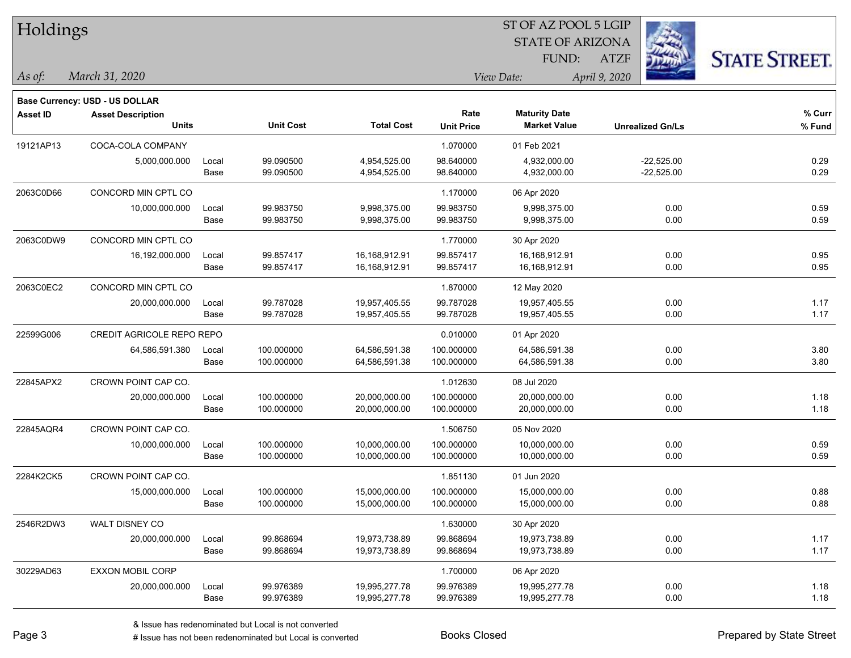| Holdings        |                                       |       |                  |                   |                   | ST OF AZ POOL 5 LGIP    |                         |                      |
|-----------------|---------------------------------------|-------|------------------|-------------------|-------------------|-------------------------|-------------------------|----------------------|
|                 |                                       |       |                  |                   |                   | <b>STATE OF ARIZONA</b> |                         |                      |
|                 |                                       |       |                  |                   |                   | FUND:                   | <b>ATZF</b>             | <b>STATE STREET.</b> |
| As of:          | March 31, 2020                        |       |                  |                   |                   | View Date:              | April 9, 2020           |                      |
|                 | <b>Base Currency: USD - US DOLLAR</b> |       |                  |                   |                   |                         |                         |                      |
| <b>Asset ID</b> | <b>Asset Description</b>              |       |                  |                   | Rate              | <b>Maturity Date</b>    |                         | % Curr               |
|                 | <b>Units</b>                          |       | <b>Unit Cost</b> | <b>Total Cost</b> | <b>Unit Price</b> | <b>Market Value</b>     | <b>Unrealized Gn/Ls</b> | % Fund               |
| 19121AP13       | COCA-COLA COMPANY                     |       |                  |                   | 1.070000          | 01 Feb 2021             |                         |                      |
|                 | 5,000,000.000                         | Local | 99.090500        | 4,954,525.00      | 98.640000         | 4,932,000.00            | $-22,525.00$            | 0.29                 |
|                 |                                       | Base  | 99.090500        | 4,954,525.00      | 98.640000         | 4,932,000.00            | $-22,525.00$            | 0.29                 |
| 2063C0D66       | CONCORD MIN CPTL CO                   |       |                  |                   | 1.170000          | 06 Apr 2020             |                         |                      |
|                 | 10,000,000.000                        | Local | 99.983750        | 9,998,375.00      | 99.983750         | 9,998,375.00            | 0.00                    | 0.59                 |
|                 |                                       | Base  | 99.983750        | 9,998,375.00      | 99.983750         | 9,998,375.00            | 0.00                    | 0.59                 |
| 2063C0DW9       | CONCORD MIN CPTL CO                   |       |                  |                   | 1.770000          | 30 Apr 2020             |                         |                      |
|                 | 16,192,000.000                        | Local | 99.857417        | 16,168,912.91     | 99.857417         | 16,168,912.91           | 0.00                    | 0.95                 |
|                 |                                       | Base  | 99.857417        | 16,168,912.91     | 99.857417         | 16,168,912.91           | 0.00                    | 0.95                 |
| 2063C0EC2       | CONCORD MIN CPTL CO                   |       |                  |                   | 1.870000          | 12 May 2020             |                         |                      |
|                 | 20,000,000.000                        | Local | 99.787028        | 19,957,405.55     | 99.787028         | 19,957,405.55           | 0.00                    | 1.17                 |
|                 |                                       | Base  | 99.787028        | 19,957,405.55     | 99.787028         | 19,957,405.55           | 0.00                    | 1.17                 |
| 22599G006       | CREDIT AGRICOLE REPO REPO             |       |                  |                   | 0.010000          | 01 Apr 2020             |                         |                      |
|                 | 64,586,591.380                        | Local | 100.000000       | 64,586,591.38     | 100.000000        | 64,586,591.38           | 0.00                    | 3.80                 |
|                 |                                       | Base  | 100.000000       | 64,586,591.38     | 100.000000        | 64,586,591.38           | 0.00                    | 3.80                 |
| 22845APX2       | CROWN POINT CAP CO.                   |       |                  |                   | 1.012630          | 08 Jul 2020             |                         |                      |
|                 | 20,000,000.000                        | Local | 100.000000       | 20,000,000.00     | 100.000000        | 20,000,000.00           | 0.00                    | 1.18                 |
|                 |                                       | Base  | 100.000000       | 20,000,000.00     | 100.000000        | 20,000,000.00           | 0.00                    | 1.18                 |
| 22845AQR4       | CROWN POINT CAP CO.                   |       |                  |                   | 1.506750          | 05 Nov 2020             |                         |                      |
|                 | 10,000,000.000                        | Local | 100.000000       | 10,000,000.00     | 100.000000        | 10,000,000.00           | 0.00                    | 0.59                 |
|                 |                                       | Base  | 100.000000       | 10,000,000.00     | 100.000000        | 10,000,000.00           | 0.00                    | 0.59                 |
| 2284K2CK5       | CROWN POINT CAP CO.                   |       |                  |                   | 1.851130          | 01 Jun 2020             |                         |                      |
|                 | 15,000,000.000                        | Local | 100.000000       | 15,000,000.00     | 100.000000        | 15,000,000.00           | 0.00                    | 0.88                 |
|                 |                                       | Base  | 100.000000       | 15,000,000.00     | 100.000000        | 15,000,000.00           | 0.00                    | 0.88                 |
| 2546R2DW3       | WALT DISNEY CO                        |       |                  |                   | 1.630000          | 30 Apr 2020             |                         |                      |
|                 | 20,000,000.000                        | Local | 99.868694        | 19,973,738.89     | 99.868694         | 19,973,738.89           | 0.00                    | 1.17                 |
|                 |                                       | Base  | 99.868694        | 19,973,738.89     | 99.868694         | 19,973,738.89           | 0.00                    | 1.17                 |
| 30229AD63       | EXXON MOBIL CORP                      |       |                  |                   | 1.700000          | 06 Apr 2020             |                         |                      |
|                 | 20,000,000.000                        | Local | 99.976389        | 19,995,277.78     | 99.976389         | 19,995,277.78           | 0.00                    | 1.18                 |
|                 |                                       | Base  | 99.976389        | 19,995,277.78     | 99.976389         | 19,995,277.78           | 0.00                    | 1.18                 |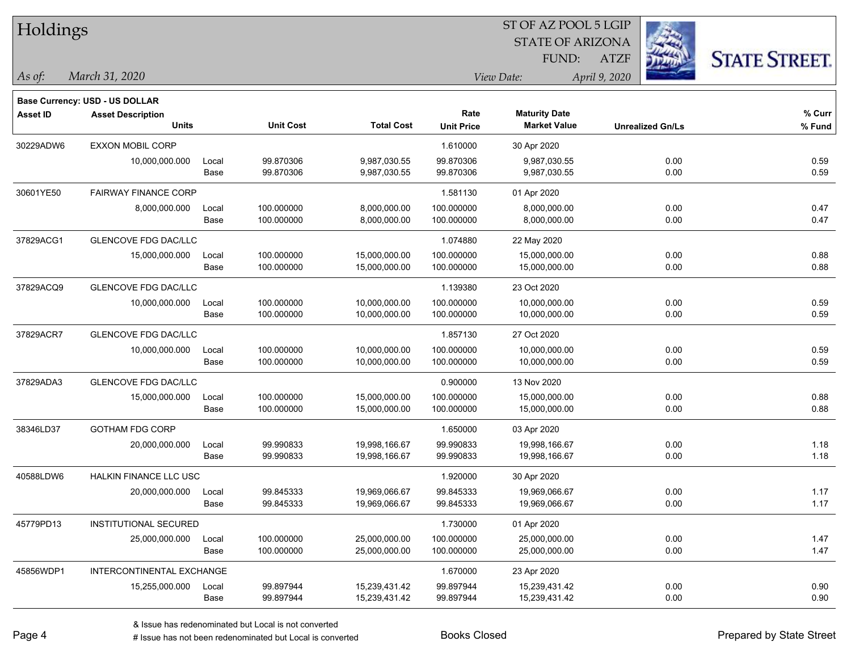| Holdings        |                                       |       |                  |                   |                   | ST OF AZ POOL 5 LGIP    |                         |                      |
|-----------------|---------------------------------------|-------|------------------|-------------------|-------------------|-------------------------|-------------------------|----------------------|
|                 |                                       |       |                  |                   |                   | <b>STATE OF ARIZONA</b> |                         |                      |
|                 |                                       |       |                  |                   |                   | FUND:                   | <b>ATZF</b>             | <b>STATE STREET.</b> |
| As of:          | March 31, 2020                        |       |                  |                   |                   | View Date:              | April 9, 2020           |                      |
|                 | <b>Base Currency: USD - US DOLLAR</b> |       |                  |                   |                   |                         |                         |                      |
| <b>Asset ID</b> | <b>Asset Description</b>              |       |                  |                   | Rate              | <b>Maturity Date</b>    |                         | % Curr               |
|                 | <b>Units</b>                          |       | <b>Unit Cost</b> | <b>Total Cost</b> | <b>Unit Price</b> | <b>Market Value</b>     | <b>Unrealized Gn/Ls</b> | $%$ Fund             |
| 30229ADW6       | <b>EXXON MOBIL CORP</b>               |       |                  |                   | 1.610000          | 30 Apr 2020             |                         |                      |
|                 | 10,000,000.000                        | Local | 99.870306        | 9,987,030.55      | 99.870306         | 9,987,030.55            | 0.00                    | 0.59                 |
|                 |                                       | Base  | 99.870306        | 9,987,030.55      | 99.870306         | 9,987,030.55            | 0.00                    | 0.59                 |
| 30601YE50       | FAIRWAY FINANCE CORP                  |       |                  |                   | 1.581130          | 01 Apr 2020             |                         |                      |
|                 | 8,000,000.000                         | Local | 100.000000       | 8,000,000.00      | 100.000000        | 8,000,000.00            | 0.00                    | 0.47                 |
|                 |                                       | Base  | 100.000000       | 8,000,000.00      | 100.000000        | 8,000,000.00            | 0.00                    | 0.47                 |
| 37829ACG1       | <b>GLENCOVE FDG DAC/LLC</b>           |       |                  |                   | 1.074880          | 22 May 2020             |                         |                      |
|                 | 15,000,000.000                        | Local | 100.000000       | 15,000,000.00     | 100.000000        | 15,000,000.00           | 0.00                    | 0.88                 |
|                 |                                       | Base  | 100.000000       | 15,000,000.00     | 100.000000        | 15,000,000.00           | 0.00                    | 0.88                 |
| 37829ACQ9       | GLENCOVE FDG DAC/LLC                  |       |                  |                   | 1.139380          | 23 Oct 2020             |                         |                      |
|                 | 10,000,000.000                        | Local | 100.000000       | 10,000,000.00     | 100.000000        | 10,000,000.00           | 0.00                    | 0.59                 |
|                 |                                       | Base  | 100.000000       | 10,000,000.00     | 100.000000        | 10,000,000.00           | 0.00                    | 0.59                 |
| 37829ACR7       | <b>GLENCOVE FDG DAC/LLC</b>           |       |                  |                   | 1.857130          | 27 Oct 2020             |                         |                      |
|                 | 10,000,000.000                        | Local | 100.000000       | 10,000,000.00     | 100.000000        | 10,000,000.00           | 0.00                    | 0.59                 |
|                 |                                       | Base  | 100.000000       | 10,000,000.00     | 100.000000        | 10,000,000.00           | 0.00                    | 0.59                 |
| 37829ADA3       | <b>GLENCOVE FDG DAC/LLC</b>           |       |                  |                   | 0.900000          | 13 Nov 2020             |                         |                      |
|                 | 15,000,000.000                        | Local | 100.000000       | 15,000,000.00     | 100.000000        | 15,000,000.00           | 0.00                    | 0.88                 |
|                 |                                       | Base  | 100.000000       | 15,000,000.00     | 100.000000        | 15,000,000.00           | 0.00                    | 0.88                 |
| 38346LD37       | <b>GOTHAM FDG CORP</b>                |       |                  |                   | 1.650000          | 03 Apr 2020             |                         |                      |
|                 | 20,000,000.000                        | Local | 99.990833        | 19,998,166.67     | 99.990833         | 19,998,166.67           | 0.00                    | 1.18                 |
|                 |                                       | Base  | 99.990833        | 19,998,166.67     | 99.990833         | 19,998,166.67           | 0.00                    | 1.18                 |
| 40588LDW6       | HALKIN FINANCE LLC USC                |       |                  |                   | 1.920000          | 30 Apr 2020             |                         |                      |
|                 | 20,000,000.000                        | Local | 99.845333        | 19,969,066.67     | 99.845333         | 19,969,066.67           | 0.00                    | 1.17                 |
|                 |                                       | Base  | 99.845333        | 19,969,066.67     | 99.845333         | 19,969,066.67           | 0.00                    | 1.17                 |
| 45779PD13       | <b>INSTITUTIONAL SECURED</b>          |       |                  |                   | 1.730000          | 01 Apr 2020             |                         |                      |
|                 | 25,000,000.000                        | Local | 100.000000       | 25,000,000.00     | 100.000000        | 25,000,000.00           | 0.00                    | 1.47                 |
|                 |                                       | Base  | 100.000000       | 25,000,000.00     | 100.000000        | 25,000,000.00           | 0.00                    | 1.47                 |
| 45856WDP1       | INTERCONTINENTAL EXCHANGE             |       |                  |                   | 1.670000          | 23 Apr 2020             |                         |                      |
|                 | 15,255,000.000                        | Local | 99.897944        | 15,239,431.42     | 99.897944         | 15,239,431.42           | 0.00                    | 0.90                 |
|                 |                                       | Base  | 99.897944        | 15,239,431.42     | 99.897944         | 15,239,431.42           | 0.00                    | 0.90                 |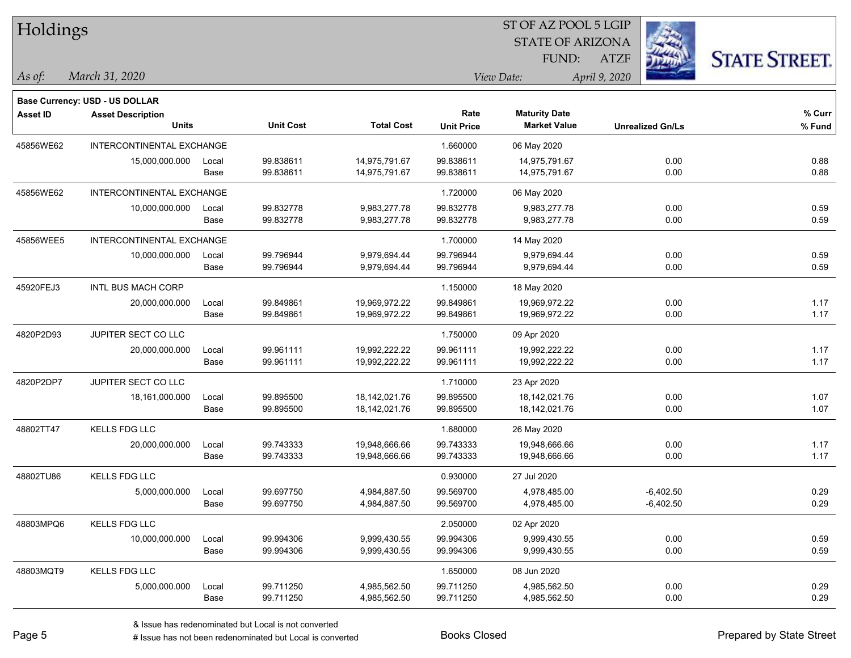| Holdings        |                                |       |                  |                   |                   | ST OF AZ POOL 5 LGIP    |                         |                      |
|-----------------|--------------------------------|-------|------------------|-------------------|-------------------|-------------------------|-------------------------|----------------------|
|                 |                                |       |                  |                   |                   | <b>STATE OF ARIZONA</b> |                         |                      |
|                 |                                |       |                  |                   |                   | FUND:                   | <b>ATZF</b>             | <b>STATE STREET.</b> |
| As of:          | March 31, 2020                 |       |                  |                   |                   | View Date:              | April 9, 2020           |                      |
|                 | Base Currency: USD - US DOLLAR |       |                  |                   |                   |                         |                         |                      |
| <b>Asset ID</b> | <b>Asset Description</b>       |       |                  |                   | Rate              | <b>Maturity Date</b>    |                         | % Curr               |
|                 | <b>Units</b>                   |       | <b>Unit Cost</b> | <b>Total Cost</b> | <b>Unit Price</b> | <b>Market Value</b>     | <b>Unrealized Gn/Ls</b> | % Fund               |
| 45856WE62       | INTERCONTINENTAL EXCHANGE      |       |                  |                   | 1.660000          | 06 May 2020             |                         |                      |
|                 | 15,000,000.000                 | Local | 99.838611        | 14,975,791.67     | 99.838611         | 14,975,791.67           | 0.00                    | 0.88                 |
|                 |                                | Base  | 99.838611        | 14,975,791.67     | 99.838611         | 14,975,791.67           | 0.00                    | 0.88                 |
| 45856WE62       | INTERCONTINENTAL EXCHANGE      |       |                  |                   | 1.720000          | 06 May 2020             |                         |                      |
|                 | 10,000,000.000                 | Local | 99.832778        | 9,983,277.78      | 99.832778         | 9,983,277.78            | 0.00                    | 0.59                 |
|                 |                                | Base  | 99.832778        | 9,983,277.78      | 99.832778         | 9,983,277.78            | 0.00                    | 0.59                 |
| 45856WEE5       | INTERCONTINENTAL EXCHANGE      |       |                  |                   | 1.700000          | 14 May 2020             |                         |                      |
|                 | 10,000,000.000                 | Local | 99.796944        | 9,979,694.44      | 99.796944         | 9,979,694.44            | 0.00                    | 0.59                 |
|                 |                                | Base  | 99.796944        | 9,979,694.44      | 99.796944         | 9,979,694.44            | 0.00                    | 0.59                 |
| 45920FEJ3       | INTL BUS MACH CORP             |       |                  |                   | 1.150000          | 18 May 2020             |                         |                      |
|                 | 20,000,000.000                 | Local | 99.849861        | 19,969,972.22     | 99.849861         | 19,969,972.22           | 0.00                    | 1.17                 |
|                 |                                | Base  | 99.849861        | 19,969,972.22     | 99.849861         | 19,969,972.22           | 0.00                    | 1.17                 |
| 4820P2D93       | JUPITER SECT CO LLC            |       |                  |                   | 1.750000          | 09 Apr 2020             |                         |                      |
|                 | 20,000,000.000                 | Local | 99.961111        | 19,992,222.22     | 99.961111         | 19,992,222.22           | 0.00                    | 1.17                 |
|                 |                                | Base  | 99.961111        | 19,992,222.22     | 99.961111         | 19,992,222.22           | 0.00                    | 1.17                 |
| 4820P2DP7       | JUPITER SECT CO LLC            |       |                  |                   | 1.710000          | 23 Apr 2020             |                         |                      |
|                 | 18,161,000.000                 | Local | 99.895500        | 18,142,021.76     | 99.895500         | 18,142,021.76           | 0.00                    | 1.07                 |
|                 |                                | Base  | 99.895500        | 18,142,021.76     | 99.895500         | 18,142,021.76           | 0.00                    | 1.07                 |
| 48802TT47       | KELLS FDG LLC                  |       |                  |                   | 1.680000          | 26 May 2020             |                         |                      |
|                 | 20,000,000.000                 | Local | 99.743333        | 19,948,666.66     | 99.743333         | 19,948,666.66           | 0.00                    | 1.17                 |
|                 |                                | Base  | 99.743333        | 19,948,666.66     | 99.743333         | 19,948,666.66           | 0.00                    | 1.17                 |
| 48802TU86       | KELLS FDG LLC                  |       |                  |                   | 0.930000          | 27 Jul 2020             |                         |                      |
|                 | 5,000,000.000                  | Local | 99.697750        | 4,984,887.50      | 99.569700         | 4,978,485.00            | $-6,402.50$             | 0.29                 |
|                 |                                | Base  | 99.697750        | 4,984,887.50      | 99.569700         | 4,978,485.00            | $-6,402.50$             | 0.29                 |
| 48803MPQ6       | <b>KELLS FDG LLC</b>           |       |                  |                   | 2.050000          | 02 Apr 2020             |                         |                      |
|                 | 10,000,000.000                 | Local | 99.994306        | 9,999,430.55      | 99.994306         | 9,999,430.55            | 0.00                    | 0.59                 |
|                 |                                | Base  | 99.994306        | 9,999,430.55      | 99.994306         | 9,999,430.55            | 0.00                    | 0.59                 |
| 48803MQT9       | KELLS FDG LLC                  |       |                  |                   | 1.650000          | 08 Jun 2020             |                         |                      |
|                 | 5,000,000.000                  | Local | 99.711250        | 4,985,562.50      | 99.711250         | 4,985,562.50            | 0.00                    | 0.29                 |
|                 |                                | Base  | 99.711250        | 4,985,562.50      | 99.711250         | 4,985,562.50            | 0.00                    | 0.29                 |

denote the redenominated but Local is converted Books Closed Prepared by State Street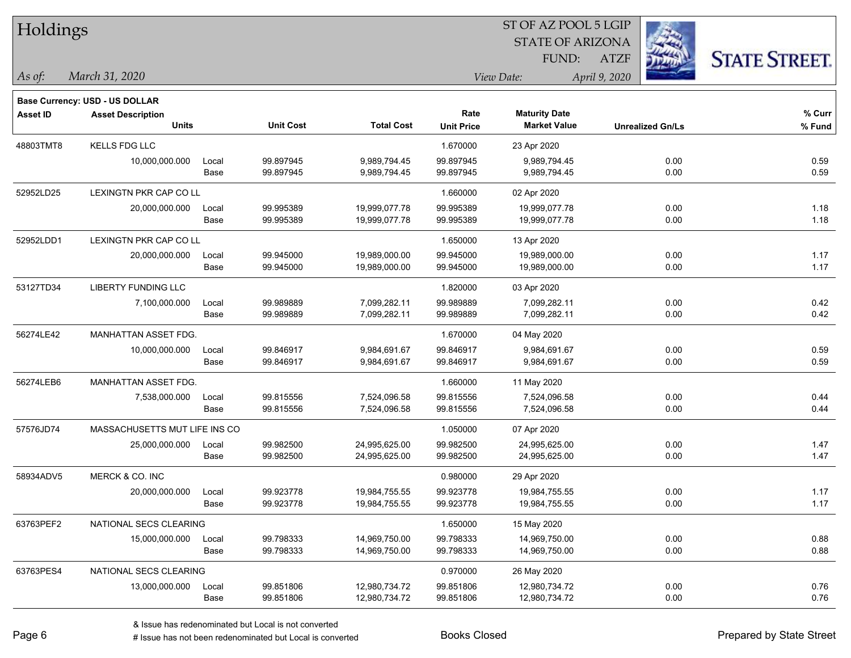| Holdings        |                                       |       |                  |                   |                   | ST OF AZ POOL 5 LGIP    |                         |                      |
|-----------------|---------------------------------------|-------|------------------|-------------------|-------------------|-------------------------|-------------------------|----------------------|
|                 |                                       |       |                  |                   |                   | <b>STATE OF ARIZONA</b> |                         |                      |
|                 |                                       |       |                  |                   |                   | FUND:                   | <b>ATZF</b>             | <b>STATE STREET.</b> |
| As of:          | March 31, 2020                        |       |                  |                   |                   | View Date:              | April 9, 2020           |                      |
|                 | <b>Base Currency: USD - US DOLLAR</b> |       |                  |                   |                   |                         |                         |                      |
| <b>Asset ID</b> | <b>Asset Description</b>              |       |                  |                   | Rate              | <b>Maturity Date</b>    |                         | % Curr               |
|                 | <b>Units</b>                          |       | <b>Unit Cost</b> | <b>Total Cost</b> | <b>Unit Price</b> | <b>Market Value</b>     | <b>Unrealized Gn/Ls</b> | % Fund               |
| 48803TMT8       | KELLS FDG LLC                         |       |                  |                   | 1.670000          | 23 Apr 2020             |                         |                      |
|                 | 10,000,000.000                        | Local | 99.897945        | 9,989,794.45      | 99.897945         | 9,989,794.45            | 0.00                    | 0.59                 |
|                 |                                       | Base  | 99.897945        | 9,989,794.45      | 99.897945         | 9,989,794.45            | 0.00                    | 0.59                 |
| 52952LD25       | LEXINGTN PKR CAP CO LL                |       |                  |                   | 1.660000          | 02 Apr 2020             |                         |                      |
|                 | 20,000,000.000                        | Local | 99.995389        | 19,999,077.78     | 99.995389         | 19,999,077.78           | 0.00                    | 1.18                 |
|                 |                                       | Base  | 99.995389        | 19,999,077.78     | 99.995389         | 19,999,077.78           | 0.00                    | 1.18                 |
| 52952LDD1       | <b>LEXINGTN PKR CAP CO LL</b>         |       |                  |                   | 1.650000          | 13 Apr 2020             |                         |                      |
|                 | 20,000,000.000                        | Local | 99.945000        | 19,989,000.00     | 99.945000         | 19,989,000.00           | 0.00                    | 1.17                 |
|                 |                                       | Base  | 99.945000        | 19,989,000.00     | 99.945000         | 19,989,000.00           | 0.00                    | 1.17                 |
| 53127TD34       | LIBERTY FUNDING LLC                   |       |                  |                   | 1.820000          | 03 Apr 2020             |                         |                      |
|                 | 7,100,000.000                         | Local | 99.989889        | 7,099,282.11      | 99.989889         | 7,099,282.11            | 0.00                    | 0.42                 |
|                 |                                       | Base  | 99.989889        | 7,099,282.11      | 99.989889         | 7,099,282.11            | 0.00                    | 0.42                 |
| 56274LE42       | MANHATTAN ASSET FDG.                  |       |                  |                   | 1.670000          | 04 May 2020             |                         |                      |
|                 | 10,000,000.000                        | Local | 99.846917        | 9,984,691.67      | 99.846917         | 9,984,691.67            | 0.00                    | 0.59                 |
|                 |                                       | Base  | 99.846917        | 9,984,691.67      | 99.846917         | 9,984,691.67            | 0.00                    | 0.59                 |
| 56274LEB6       | MANHATTAN ASSET FDG.                  |       |                  |                   | 1.660000          | 11 May 2020             |                         |                      |
|                 | 7,538,000.000                         | Local | 99.815556        | 7,524,096.58      | 99.815556         | 7,524,096.58            | 0.00                    | 0.44                 |
|                 |                                       | Base  | 99.815556        | 7,524,096.58      | 99.815556         | 7,524,096.58            | 0.00                    | 0.44                 |
| 57576JD74       | MASSACHUSETTS MUT LIFE INS CO         |       |                  |                   | 1.050000          | 07 Apr 2020             |                         |                      |
|                 | 25,000,000.000                        | Local | 99.982500        | 24,995,625.00     | 99.982500         | 24,995,625.00           | 0.00                    | 1.47                 |
|                 |                                       | Base  | 99.982500        | 24,995,625.00     | 99.982500         | 24,995,625.00           | 0.00                    | 1.47                 |
| 58934ADV5       | MERCK & CO. INC                       |       |                  |                   | 0.980000          | 29 Apr 2020             |                         |                      |
|                 | 20,000,000.000                        | Local | 99.923778        | 19,984,755.55     | 99.923778         | 19,984,755.55           | 0.00                    | 1.17                 |
|                 |                                       | Base  | 99.923778        | 19,984,755.55     | 99.923778         | 19,984,755.55           | 0.00                    | 1.17                 |
| 63763PEF2       | NATIONAL SECS CLEARING                |       |                  |                   | 1.650000          | 15 May 2020             |                         |                      |
|                 | 15,000,000.000                        | Local | 99.798333        | 14,969,750.00     | 99.798333         | 14,969,750.00           | 0.00                    | 0.88                 |
|                 |                                       | Base  | 99.798333        | 14,969,750.00     | 99.798333         | 14,969,750.00           | 0.00                    | 0.88                 |
| 63763PES4       | NATIONAL SECS CLEARING                |       |                  |                   | 0.970000          | 26 May 2020             |                         |                      |
|                 | 13,000,000.000                        | Local | 99.851806        | 12,980,734.72     | 99.851806         | 12,980,734.72           | 0.00                    | 0.76                 |
|                 |                                       | Base  | 99.851806        | 12,980,734.72     | 99.851806         | 12,980,734.72           | 0.00                    | 0.76                 |

denote the redenominated but Local is converted Books Closed Prepared by State Street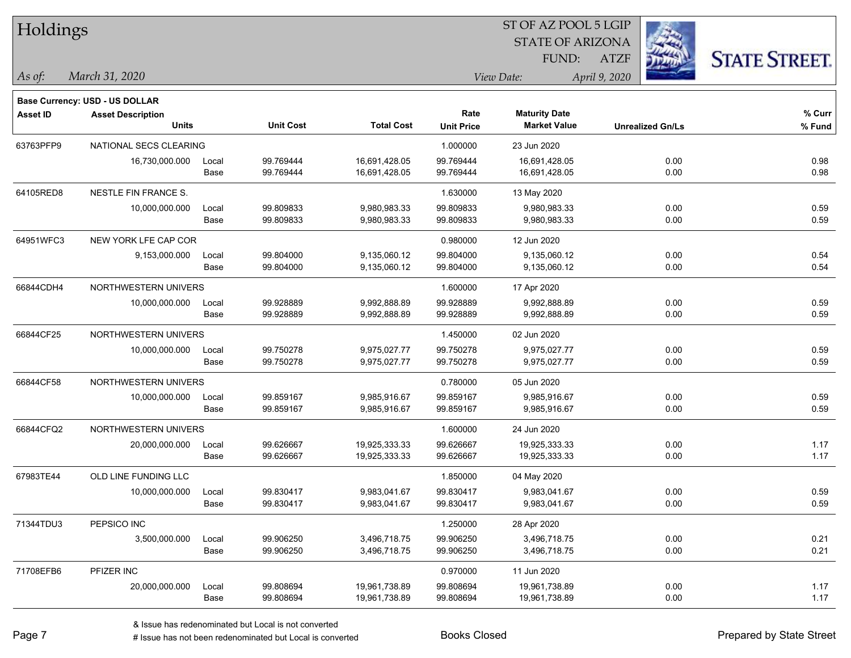|                                       |                                                              |                                                                                                                                                        |                               |                                                     | FUND:                          | <b>ATZF</b>                                        | <b>STATE STREET</b>                                                                                 |  |  |
|---------------------------------------|--------------------------------------------------------------|--------------------------------------------------------------------------------------------------------------------------------------------------------|-------------------------------|-----------------------------------------------------|--------------------------------|----------------------------------------------------|-----------------------------------------------------------------------------------------------------|--|--|
| March 31, 2020                        |                                                              |                                                                                                                                                        |                               |                                                     |                                |                                                    |                                                                                                     |  |  |
| <b>Base Currency: USD - US DOLLAR</b> |                                                              |                                                                                                                                                        |                               |                                                     |                                |                                                    |                                                                                                     |  |  |
| <b>Asset Description</b>              |                                                              |                                                                                                                                                        |                               | Rate                                                | <b>Maturity Date</b>           |                                                    | % Curr                                                                                              |  |  |
|                                       |                                                              |                                                                                                                                                        |                               |                                                     |                                |                                                    | % Fund                                                                                              |  |  |
|                                       |                                                              |                                                                                                                                                        |                               | 1.000000                                            | 23 Jun 2020                    |                                                    |                                                                                                     |  |  |
| 16,730,000.000                        | Local                                                        | 99.769444                                                                                                                                              | 16,691,428.05                 | 99.769444                                           | 16,691,428.05                  | 0.00                                               | 0.98                                                                                                |  |  |
|                                       |                                                              |                                                                                                                                                        |                               |                                                     |                                |                                                    | 0.98                                                                                                |  |  |
| NESTLE FIN FRANCE S.                  |                                                              |                                                                                                                                                        |                               | 1.630000                                            | 13 May 2020                    |                                                    |                                                                                                     |  |  |
| 10,000,000.000                        | Local                                                        | 99.809833                                                                                                                                              | 9,980,983.33                  | 99.809833                                           | 9,980,983.33                   | 0.00                                               | 0.59                                                                                                |  |  |
|                                       | Base                                                         | 99.809833                                                                                                                                              | 9,980,983.33                  | 99.809833                                           | 9,980,983.33                   | 0.00                                               | 0.59                                                                                                |  |  |
|                                       |                                                              |                                                                                                                                                        |                               | 0.980000                                            | 12 Jun 2020                    |                                                    |                                                                                                     |  |  |
| 9,153,000.000                         | Local                                                        | 99.804000                                                                                                                                              | 9,135,060.12                  | 99.804000                                           | 9,135,060.12                   | 0.00                                               | 0.54                                                                                                |  |  |
|                                       | Base                                                         | 99.804000                                                                                                                                              | 9,135,060.12                  | 99.804000                                           | 9,135,060.12                   | 0.00                                               | 0.54                                                                                                |  |  |
|                                       |                                                              |                                                                                                                                                        |                               | 1.600000                                            | 17 Apr 2020                    |                                                    |                                                                                                     |  |  |
| 10,000,000.000                        | Local                                                        | 99.928889                                                                                                                                              | 9,992,888.89                  | 99.928889                                           | 9,992,888.89                   | 0.00                                               | 0.59                                                                                                |  |  |
|                                       | Base                                                         | 99.928889                                                                                                                                              | 9,992,888.89                  | 99.928889                                           | 9,992,888.89                   | 0.00                                               | 0.59                                                                                                |  |  |
|                                       |                                                              |                                                                                                                                                        |                               | 1.450000                                            | 02 Jun 2020                    |                                                    |                                                                                                     |  |  |
| 10,000,000.000                        | Local                                                        | 99.750278                                                                                                                                              | 9,975,027.77                  | 99.750278                                           | 9,975,027.77                   | 0.00                                               | 0.59                                                                                                |  |  |
|                                       | Base                                                         | 99.750278                                                                                                                                              | 9,975,027.77                  | 99.750278                                           | 9,975,027.77                   | 0.00                                               | 0.59                                                                                                |  |  |
|                                       |                                                              |                                                                                                                                                        |                               | 0.780000                                            | 05 Jun 2020                    |                                                    |                                                                                                     |  |  |
|                                       | Local                                                        | 99.859167                                                                                                                                              | 9,985,916.67                  | 99.859167                                           | 9,985,916.67                   | 0.00                                               | 0.59                                                                                                |  |  |
|                                       | Base                                                         | 99.859167                                                                                                                                              | 9,985,916.67                  | 99.859167                                           | 9,985,916.67                   | 0.00                                               | 0.59                                                                                                |  |  |
|                                       |                                                              |                                                                                                                                                        |                               | 1.600000                                            | 24 Jun 2020                    |                                                    |                                                                                                     |  |  |
|                                       | Local                                                        | 99.626667                                                                                                                                              |                               | 99.626667                                           | 19,925,333.33                  | 0.00                                               | 1.17                                                                                                |  |  |
|                                       | Base                                                         | 99.626667                                                                                                                                              | 19,925,333.33                 | 99.626667                                           | 19,925,333.33                  | 0.00                                               | 1.17                                                                                                |  |  |
| OLD LINE FUNDING LLC                  |                                                              |                                                                                                                                                        |                               | 1.850000                                            | 04 May 2020                    |                                                    |                                                                                                     |  |  |
| 10,000,000.000                        | Local                                                        | 99.830417                                                                                                                                              | 9,983,041.67                  | 99.830417                                           | 9,983,041.67                   | 0.00                                               | 0.59                                                                                                |  |  |
|                                       | Base                                                         | 99.830417                                                                                                                                              | 9,983,041.67                  | 99.830417                                           | 9,983,041.67                   | 0.00                                               | 0.59                                                                                                |  |  |
| PEPSICO INC                           |                                                              |                                                                                                                                                        |                               | 1.250000                                            | 28 Apr 2020                    |                                                    |                                                                                                     |  |  |
| 3,500,000.000                         | Local                                                        | 99.906250                                                                                                                                              | 3,496,718.75                  | 99.906250                                           | 3,496,718.75                   | 0.00                                               | 0.21                                                                                                |  |  |
|                                       | Base                                                         | 99.906250                                                                                                                                              | 3,496,718.75                  | 99.906250                                           | 3,496,718.75                   | 0.00                                               | 0.21                                                                                                |  |  |
| PFIZER INC                            |                                                              |                                                                                                                                                        |                               | 0.970000                                            | 11 Jun 2020                    |                                                    |                                                                                                     |  |  |
| 20,000,000.000                        | Local                                                        | 99.808694                                                                                                                                              | 19,961,738.89                 | 99.808694                                           | 19,961,738.89                  | 0.00                                               | 1.17                                                                                                |  |  |
|                                       | Base                                                         | 99.808694                                                                                                                                              | 19,961,738.89                 | 99.808694                                           | 19,961,738.89                  | 0.00                                               | 1.17                                                                                                |  |  |
|                                       | Holdings<br><b>Units</b><br>10,000,000.000<br>20,000,000.000 | NATIONAL SECS CLEARING<br>Base<br>NEW YORK LFE CAP COR<br>NORTHWESTERN UNIVERS<br>NORTHWESTERN UNIVERS<br>NORTHWESTERN UNIVERS<br>NORTHWESTERN UNIVERS | <b>Unit Cost</b><br>99.769444 | <b>Total Cost</b><br>16,691,428.05<br>19,925,333.33 | <b>Unit Price</b><br>99.769444 | View Date:<br><b>Market Value</b><br>16,691,428.05 | 51 OF AZ POOL 5 LGIP<br><b>STATE OF ARIZONA</b><br>April 9, 2020<br><b>Unrealized Gn/Ls</b><br>0.00 |  |  |

 $ST$  OF AZ POOL 5 LGIP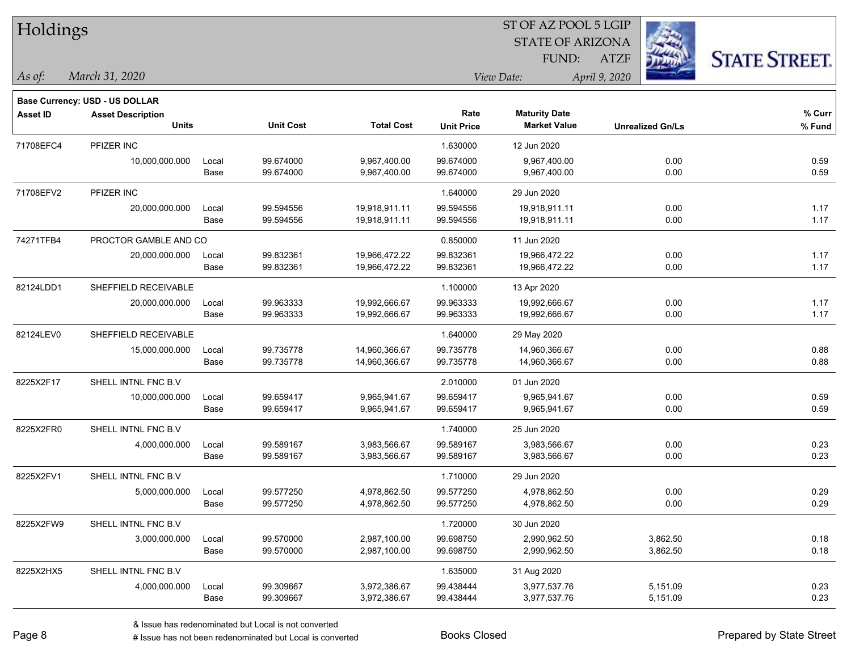| Holdings        |                                |       |                  |                   |                   | ST OF AZ POOL 5 LGIP    |                         |                      |
|-----------------|--------------------------------|-------|------------------|-------------------|-------------------|-------------------------|-------------------------|----------------------|
|                 |                                |       |                  |                   |                   | <b>STATE OF ARIZONA</b> |                         |                      |
|                 |                                |       |                  |                   |                   | FUND:                   | <b>ATZF</b>             | <b>STATE STREET.</b> |
| As of:          | March 31, 2020                 |       |                  |                   |                   | View Date:              | April 9, 2020           |                      |
|                 | Base Currency: USD - US DOLLAR |       |                  |                   |                   |                         |                         |                      |
| <b>Asset ID</b> | <b>Asset Description</b>       |       |                  |                   | Rate              | <b>Maturity Date</b>    |                         | $%$ Curr             |
|                 | <b>Units</b>                   |       | <b>Unit Cost</b> | <b>Total Cost</b> | <b>Unit Price</b> | <b>Market Value</b>     | <b>Unrealized Gn/Ls</b> | % Fund               |
| 71708EFC4       | PFIZER INC                     |       |                  |                   | 1.630000          | 12 Jun 2020             |                         |                      |
|                 | 10,000,000.000                 | Local | 99.674000        | 9,967,400.00      | 99.674000         | 9,967,400.00            | 0.00                    | 0.59                 |
|                 |                                | Base  | 99.674000        | 9,967,400.00      | 99.674000         | 9,967,400.00            | 0.00                    | 0.59                 |
| 71708EFV2       | PFIZER INC                     |       |                  |                   | 1.640000          | 29 Jun 2020             |                         |                      |
|                 | 20,000,000.000                 | Local | 99.594556        | 19,918,911.11     | 99.594556         | 19,918,911.11           | 0.00                    | 1.17                 |
|                 |                                | Base  | 99.594556        | 19,918,911.11     | 99.594556         | 19,918,911.11           | 0.00                    | 1.17                 |
| 74271TFB4       | PROCTOR GAMBLE AND CO          |       |                  |                   | 0.850000          | 11 Jun 2020             |                         |                      |
|                 | 20,000,000.000                 | Local | 99.832361        | 19,966,472.22     | 99.832361         | 19,966,472.22           | 0.00                    | 1.17                 |
|                 |                                | Base  | 99.832361        | 19,966,472.22     | 99.832361         | 19,966,472.22           | 0.00                    | 1.17                 |
| 82124LDD1       | SHEFFIELD RECEIVABLE           |       |                  |                   | 1.100000          | 13 Apr 2020             |                         |                      |
|                 | 20,000,000.000                 | Local | 99.963333        | 19,992,666.67     | 99.963333         | 19,992,666.67           | 0.00                    | 1.17                 |
|                 |                                | Base  | 99.963333        | 19,992,666.67     | 99.963333         | 19,992,666.67           | 0.00                    | 1.17                 |
| 82124LEV0       | SHEFFIELD RECEIVABLE           |       |                  |                   | 1.640000          | 29 May 2020             |                         |                      |
|                 | 15,000,000.000                 | Local | 99.735778        | 14,960,366.67     | 99.735778         | 14,960,366.67           | 0.00                    | 0.88                 |
|                 |                                | Base  | 99.735778        | 14,960,366.67     | 99.735778         | 14,960,366.67           | 0.00                    | 0.88                 |
| 8225X2F17       | SHELL INTNL FNC B.V            |       |                  |                   | 2.010000          | 01 Jun 2020             |                         |                      |
|                 | 10,000,000.000                 | Local | 99.659417        | 9,965,941.67      | 99.659417         | 9,965,941.67            | 0.00                    | 0.59                 |
|                 |                                | Base  | 99.659417        | 9,965,941.67      | 99.659417         | 9,965,941.67            | 0.00                    | 0.59                 |
| 8225X2FR0       | SHELL INTNL FNC B.V            |       |                  |                   | 1.740000          | 25 Jun 2020             |                         |                      |
|                 | 4,000,000.000                  | Local | 99.589167        | 3,983,566.67      | 99.589167         | 3,983,566.67            | 0.00                    | 0.23                 |
|                 |                                | Base  | 99.589167        | 3,983,566.67      | 99.589167         | 3,983,566.67            | 0.00                    | 0.23                 |
| 8225X2FV1       | SHELL INTNL FNC B.V            |       |                  |                   | 1.710000          | 29 Jun 2020             |                         |                      |
|                 | 5,000,000.000                  | Local | 99.577250        | 4,978,862.50      | 99.577250         | 4,978,862.50            | 0.00                    | 0.29                 |
|                 |                                | Base  | 99.577250        | 4,978,862.50      | 99.577250         | 4,978,862.50            | 0.00                    | 0.29                 |
| 8225X2FW9       | SHELL INTNL FNC B.V            |       |                  |                   | 1.720000          | 30 Jun 2020             |                         |                      |
|                 | 3,000,000.000                  | Local | 99.570000        | 2,987,100.00      | 99.698750         | 2,990,962.50            | 3,862.50                | 0.18                 |
|                 |                                | Base  | 99.570000        | 2,987,100.00      | 99.698750         | 2,990,962.50            | 3,862.50                | 0.18                 |
| 8225X2HX5       | SHELL INTNL FNC B.V            |       |                  |                   | 1.635000          | 31 Aug 2020             |                         |                      |
|                 | 4,000,000.000                  | Local | 99.309667        | 3,972,386.67      | 99.438444         | 3,977,537.76            | 5,151.09                | 0.23                 |
|                 |                                | Base  | 99.309667        | 3,972,386.67      | 99.438444         | 3,977,537.76            | 5,151.09                | 0.23                 |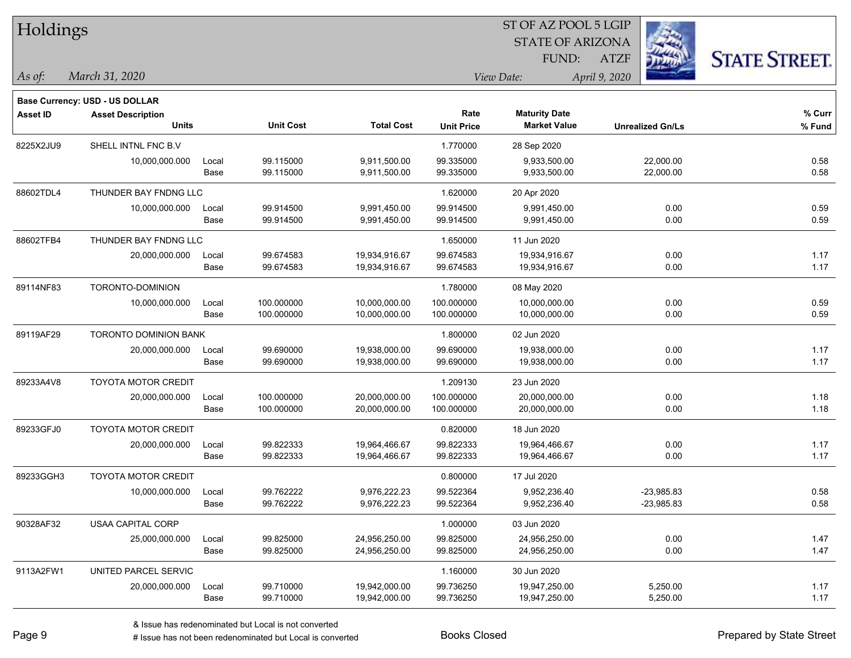| Holdings        |                                       |       |                  |                   | ST OF AZ POOL 5 LGIP |                         |                         |                      |  |  |
|-----------------|---------------------------------------|-------|------------------|-------------------|----------------------|-------------------------|-------------------------|----------------------|--|--|
|                 |                                       |       |                  |                   |                      | <b>STATE OF ARIZONA</b> |                         |                      |  |  |
|                 |                                       |       |                  |                   |                      | FUND:                   | <b>ATZF</b>             | <b>STATE STREET.</b> |  |  |
| As of:          | March 31, 2020                        |       |                  |                   |                      | View Date:              | April 9, 2020           |                      |  |  |
|                 | <b>Base Currency: USD - US DOLLAR</b> |       |                  |                   |                      |                         |                         |                      |  |  |
| <b>Asset ID</b> | <b>Asset Description</b>              |       |                  |                   | Rate                 | <b>Maturity Date</b>    |                         | % Curr               |  |  |
|                 | <b>Units</b>                          |       | <b>Unit Cost</b> | <b>Total Cost</b> | <b>Unit Price</b>    | <b>Market Value</b>     | <b>Unrealized Gn/Ls</b> | $%$ Fund             |  |  |
| 8225X2JU9       | SHELL INTNL FNC B.V                   |       |                  |                   | 1.770000             | 28 Sep 2020             |                         |                      |  |  |
|                 | 10,000,000.000                        | Local | 99.115000        | 9,911,500.00      | 99.335000            | 9,933,500.00            | 22,000.00               | 0.58                 |  |  |
|                 |                                       | Base  | 99.115000        | 9,911,500.00      | 99.335000            | 9,933,500.00            | 22,000.00               | 0.58                 |  |  |
| 88602TDL4       | THUNDER BAY FNDNG LLC                 |       |                  |                   | 1.620000             | 20 Apr 2020             |                         |                      |  |  |
|                 | 10,000,000.000                        | Local | 99.914500        | 9,991,450.00      | 99.914500            | 9,991,450.00            | 0.00                    | 0.59                 |  |  |
|                 |                                       | Base  | 99.914500        | 9,991,450.00      | 99.914500            | 9,991,450.00            | 0.00                    | 0.59                 |  |  |
| 88602TFB4       | THUNDER BAY FNDNG LLC                 |       |                  |                   | 1.650000             | 11 Jun 2020             |                         |                      |  |  |
|                 | 20,000,000.000                        | Local | 99.674583        | 19,934,916.67     | 99.674583            | 19,934,916.67           | 0.00                    | 1.17                 |  |  |
|                 |                                       | Base  | 99.674583        | 19,934,916.67     | 99.674583            | 19,934,916.67           | 0.00                    | 1.17                 |  |  |
| 89114NF83       | TORONTO-DOMINION                      |       |                  |                   | 1.780000             | 08 May 2020             |                         |                      |  |  |
|                 | 10,000,000.000                        | Local | 100.000000       | 10,000,000.00     | 100.000000           | 10,000,000.00           | 0.00                    | 0.59                 |  |  |
|                 |                                       | Base  | 100.000000       | 10,000,000.00     | 100.000000           | 10,000,000.00           | 0.00                    | 0.59                 |  |  |
| 89119AF29       | <b>TORONTO DOMINION BANK</b>          |       |                  |                   | 1.800000             | 02 Jun 2020             |                         |                      |  |  |
|                 | 20,000,000.000                        | Local | 99.690000        | 19,938,000.00     | 99.690000            | 19,938,000.00           | 0.00                    | 1.17                 |  |  |
|                 |                                       | Base  | 99.690000        | 19,938,000.00     | 99.690000            | 19,938,000.00           | 0.00                    | 1.17                 |  |  |
| 89233A4V8       | <b>TOYOTA MOTOR CREDIT</b>            |       |                  |                   | 1.209130             | 23 Jun 2020             |                         |                      |  |  |
|                 | 20,000,000.000                        | Local | 100.000000       | 20,000,000.00     | 100.000000           | 20,000,000.00           | 0.00                    | 1.18                 |  |  |
|                 |                                       | Base  | 100.000000       | 20,000,000.00     | 100.000000           | 20,000,000.00           | 0.00                    | 1.18                 |  |  |
| 89233GFJ0       | <b>TOYOTA MOTOR CREDIT</b>            |       |                  |                   | 0.820000             | 18 Jun 2020             |                         |                      |  |  |
|                 | 20,000,000.000                        | Local | 99.822333        | 19,964,466.67     | 99.822333            | 19,964,466.67           | 0.00                    | 1.17                 |  |  |
|                 |                                       | Base  | 99.822333        | 19,964,466.67     | 99.822333            | 19,964,466.67           | 0.00                    | 1.17                 |  |  |
| 89233GGH3       | <b>TOYOTA MOTOR CREDIT</b>            |       |                  |                   | 0.800000             | 17 Jul 2020             |                         |                      |  |  |
|                 | 10,000,000.000                        | Local | 99.762222        | 9,976,222.23      | 99.522364            | 9,952,236.40            | $-23,985.83$            | 0.58                 |  |  |
|                 |                                       | Base  | 99.762222        | 9,976,222.23      | 99.522364            | 9,952,236.40            | $-23,985.83$            | 0.58                 |  |  |
| 90328AF32       | <b>USAA CAPITAL CORP</b>              |       |                  |                   | 1.000000             | 03 Jun 2020             |                         |                      |  |  |
|                 | 25,000,000.000                        | Local | 99.825000        | 24,956,250.00     | 99.825000            | 24,956,250.00           | 0.00                    | 1.47                 |  |  |
|                 |                                       | Base  | 99.825000        | 24,956,250.00     | 99.825000            | 24,956,250.00           | 0.00                    | 1.47                 |  |  |
| 9113A2FW1       | UNITED PARCEL SERVIC                  |       |                  |                   | 1.160000             | 30 Jun 2020             |                         |                      |  |  |
|                 | 20,000,000.000                        | Local | 99.710000        | 19,942,000.00     | 99.736250            | 19,947,250.00           | 5,250.00                | 1.17                 |  |  |
|                 |                                       | Base  | 99.710000        | 19,942,000.00     | 99.736250            | 19,947,250.00           | 5,250.00                | 1.17                 |  |  |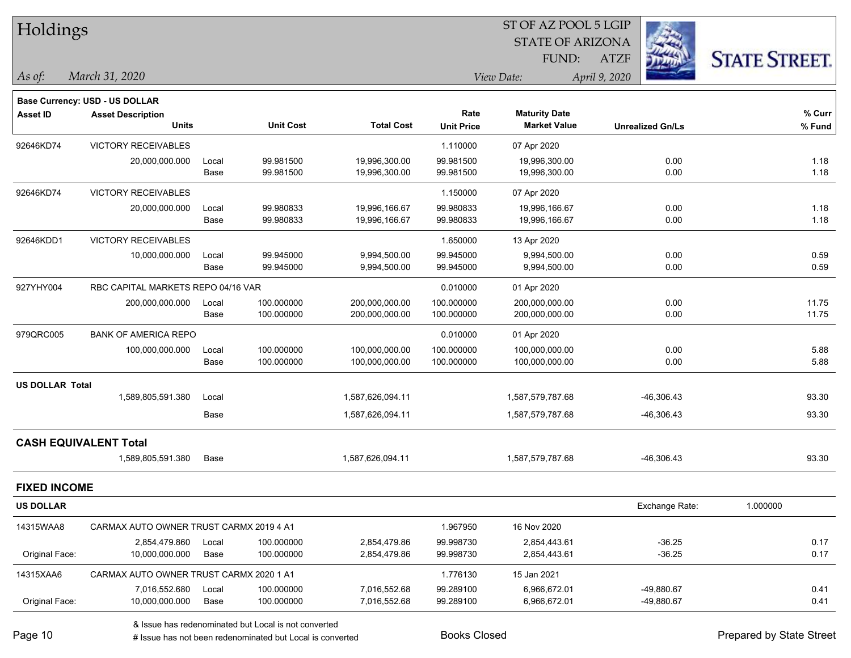| Holdings               |                                         |       |                  |                   |                   | ST OF AZ POOL 5 LGIP    |                         |                     |
|------------------------|-----------------------------------------|-------|------------------|-------------------|-------------------|-------------------------|-------------------------|---------------------|
|                        |                                         |       |                  |                   |                   | <b>STATE OF ARIZONA</b> |                         |                     |
|                        |                                         |       |                  |                   |                   | FUND:                   | <b>ATZF</b>             | <b>STATE STREET</b> |
| $\vert$ As of:         | March 31, 2020                          |       |                  |                   |                   | View Date:              | April 9, 2020           |                     |
|                        | Base Currency: USD - US DOLLAR          |       |                  |                   |                   |                         |                         |                     |
| <b>Asset ID</b>        | <b>Asset Description</b>                |       |                  |                   | Rate              | <b>Maturity Date</b>    |                         | % Curr              |
|                        | <b>Units</b>                            |       | <b>Unit Cost</b> | <b>Total Cost</b> | <b>Unit Price</b> | <b>Market Value</b>     | <b>Unrealized Gn/Ls</b> | % Fund              |
| 92646KD74              | <b>VICTORY RECEIVABLES</b>              |       |                  |                   | 1.110000          | 07 Apr 2020             |                         |                     |
|                        | 20,000,000.000                          | Local | 99.981500        | 19,996,300.00     | 99.981500         | 19,996,300.00           | 0.00                    | 1.18                |
|                        |                                         | Base  | 99.981500        | 19,996,300.00     | 99.981500         | 19,996,300.00           | 0.00                    | 1.18                |
| 92646KD74              | <b>VICTORY RECEIVABLES</b>              |       |                  |                   | 1.150000          | 07 Apr 2020             |                         |                     |
|                        | 20,000,000.000                          | Local | 99.980833        | 19,996,166.67     | 99.980833         | 19,996,166.67           | 0.00                    | 1.18                |
|                        |                                         | Base  | 99.980833        | 19,996,166.67     | 99.980833         | 19,996,166.67           | 0.00                    | 1.18                |
| 92646KDD1              | <b>VICTORY RECEIVABLES</b>              |       |                  |                   | 1.650000          | 13 Apr 2020             |                         |                     |
|                        | 10,000,000.000                          | Local | 99.945000        | 9,994,500.00      | 99.945000         | 9,994,500.00            | 0.00                    | 0.59                |
|                        |                                         | Base  | 99.945000        | 9,994,500.00      | 99.945000         | 9,994,500.00            | 0.00                    | 0.59                |
| 927YHY004              | RBC CAPITAL MARKETS REPO 04/16 VAR      |       |                  |                   | 0.010000          | 01 Apr 2020             |                         |                     |
|                        | 200,000,000.000                         | Local | 100.000000       | 200,000,000.00    | 100.000000        | 200,000,000.00          | 0.00                    | 11.75               |
|                        |                                         | Base  | 100.000000       | 200,000,000.00    | 100.000000        | 200,000,000.00          | 0.00                    | 11.75               |
| 979QRC005              | <b>BANK OF AMERICA REPO</b>             |       |                  |                   | 0.010000          | 01 Apr 2020             |                         |                     |
|                        | 100,000,000.000                         | Local | 100.000000       | 100,000,000.00    | 100.000000        | 100,000,000.00          | 0.00                    | 5.88                |
|                        |                                         | Base  | 100.000000       | 100,000,000.00    | 100.000000        | 100,000,000.00          | 0.00                    | 5.88                |
| <b>US DOLLAR Total</b> |                                         |       |                  |                   |                   |                         |                         |                     |
|                        | 1,589,805,591.380                       | Local |                  | 1,587,626,094.11  |                   | 1,587,579,787.68        | -46,306.43              | 93.30               |
|                        |                                         | Base  |                  | 1,587,626,094.11  |                   | 1,587,579,787.68        | -46,306.43              | 93.30               |
|                        | <b>CASH EQUIVALENT Total</b>            |       |                  |                   |                   |                         |                         |                     |
|                        | 1,589,805,591.380                       | Base  |                  | 1,587,626,094.11  |                   | 1,587,579,787.68        | $-46,306.43$            | 93.30               |
| <b>FIXED INCOME</b>    |                                         |       |                  |                   |                   |                         |                         |                     |
| US DOLLAR              |                                         |       |                  |                   |                   |                         | Exchange Rate:          | 1.000000            |
| 14315WAA8              | CARMAX AUTO OWNER TRUST CARMX 2019 4 A1 |       |                  |                   | 1.967950          | 16 Nov 2020             |                         |                     |
|                        | 2,854,479.860                           | Local | 100.000000       | 2,854,479.86      | 99.998730         | 2,854,443.61            | $-36.25$                | 0.17                |
| Original Face:         | 10,000,000.000                          | Base  | 100.000000       | 2,854,479.86      | 99.998730         | 2,854,443.61            | $-36.25$                | 0.17                |
| 14315XAA6              | CARMAX AUTO OWNER TRUST CARMX 2020 1 A1 |       |                  |                   | 1.776130          | 15 Jan 2021             |                         |                     |
|                        | 7,016,552.680                           | Local | 100.000000       | 7,016,552.68      | 99.289100         | 6,966,672.01            | -49,880.67              | 0.41                |
| Original Face:         | 10,000,000.000                          | Base  | 100.000000       | 7,016,552.68      | 99.289100         | 6,966,672.01            | -49,880.67              | 0.41                |
|                        |                                         |       |                  |                   |                   |                         |                         |                     |

& Issue has redenominated but Local is not converted

# Issue has not been redenominated but Local is converted Books Closed Prepared by State Street

٦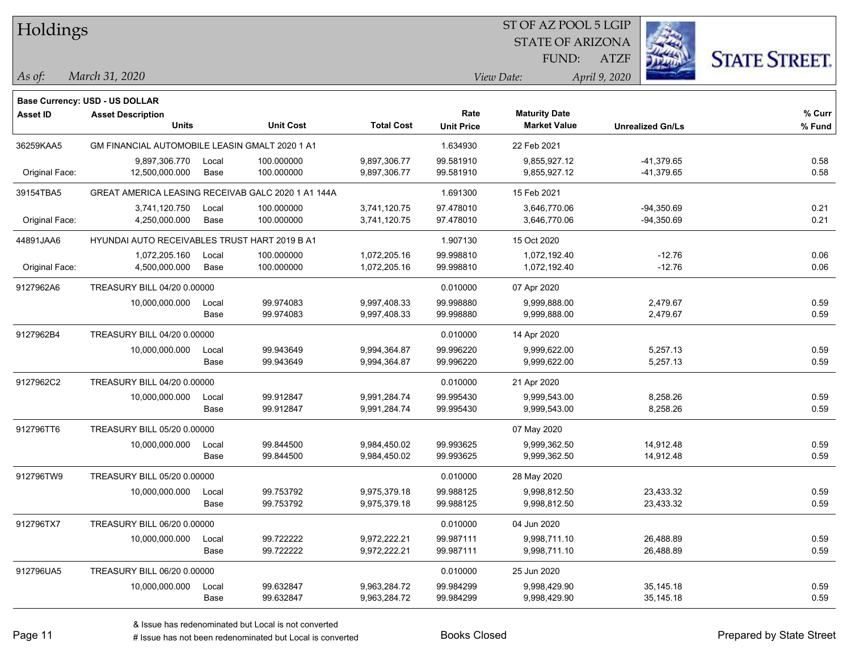| Holdings        |                                                    |       |                  |                   |                   | ST OF AZ POOL 5 LGIP    |                         |                      |
|-----------------|----------------------------------------------------|-------|------------------|-------------------|-------------------|-------------------------|-------------------------|----------------------|
|                 |                                                    |       |                  |                   |                   | <b>STATE OF ARIZONA</b> |                         |                      |
|                 |                                                    |       |                  |                   |                   | FUND:                   | <b>ATZF</b>             | <b>STATE STREET.</b> |
| As of:          | March 31, 2020                                     |       |                  |                   |                   | View Date:              | April 9, 2020           |                      |
|                 | Base Currency: USD - US DOLLAR                     |       |                  |                   |                   |                         |                         |                      |
| <b>Asset ID</b> | <b>Asset Description</b>                           |       |                  |                   | Rate              | <b>Maturity Date</b>    |                         | % Curr               |
|                 | <b>Units</b>                                       |       | <b>Unit Cost</b> | <b>Total Cost</b> | <b>Unit Price</b> | <b>Market Value</b>     | <b>Unrealized Gn/Ls</b> | % Fund               |
| 36259KAA5       | GM FINANCIAL AUTOMOBILE LEASIN GMALT 2020 1 A1     |       |                  |                   | 1.634930          | 22 Feb 2021             |                         |                      |
|                 | 9,897,306.770                                      | Local | 100.000000       | 9,897,306.77      | 99.581910         | 9,855,927.12            | -41,379.65              | 0.58                 |
| Original Face:  | 12,500,000.000                                     | Base  | 100.000000       | 9,897,306.77      | 99.581910         | 9,855,927.12            | -41,379.65              | 0.58                 |
| 39154TBA5       | GREAT AMERICA LEASING RECEIVAB GALC 2020 1 A1 144A |       |                  |                   | 1.691300          | 15 Feb 2021             |                         |                      |
|                 | 3,741,120.750                                      | Local | 100.000000       | 3,741,120.75      | 97.478010         | 3,646,770.06            | $-94,350.69$            | 0.21                 |
| Original Face:  | 4,250,000.000                                      | Base  | 100.000000       | 3,741,120.75      | 97.478010         | 3,646,770.06            | $-94,350.69$            | 0.21                 |
| 44891JAA6       | HYUNDAI AUTO RECEIVABLES TRUST HART 2019 B A1      |       |                  |                   | 1.907130          | 15 Oct 2020             |                         |                      |
|                 | 1,072,205.160                                      | Local | 100.000000       | 1,072,205.16      | 99.998810         | 1,072,192.40            | $-12.76$                | 0.06                 |
| Original Face:  | 4,500,000.000                                      | Base  | 100.000000       | 1,072,205.16      | 99.998810         | 1,072,192.40            | $-12.76$                | 0.06                 |
| 9127962A6       | TREASURY BILL 04/20 0.00000                        |       |                  |                   | 0.010000          | 07 Apr 2020             |                         |                      |
|                 | 10,000,000.000                                     | Local | 99.974083        | 9,997,408.33      | 99.998880         | 9,999,888.00            | 2,479.67                | 0.59                 |
|                 |                                                    | Base  | 99.974083        | 9,997,408.33      | 99.998880         | 9,999,888.00            | 2,479.67                | 0.59                 |
| 9127962B4       | TREASURY BILL 04/20 0.00000                        |       |                  |                   | 0.010000          | 14 Apr 2020             |                         |                      |
|                 | 10,000,000.000                                     | Local | 99.943649        | 9,994,364.87      | 99.996220         | 9,999,622.00            | 5,257.13                | 0.59                 |
|                 |                                                    | Base  | 99.943649        | 9,994,364.87      | 99.996220         | 9,999,622.00            | 5,257.13                | 0.59                 |
| 9127962C2       | TREASURY BILL 04/20 0.00000                        |       |                  |                   | 0.010000          | 21 Apr 2020             |                         |                      |
|                 | 10,000,000.000                                     | Local | 99.912847        | 9,991,284.74      | 99.995430         | 9,999,543.00            | 8,258.26                | 0.59                 |
|                 |                                                    | Base  | 99.912847        | 9,991,284.74      | 99.995430         | 9,999,543.00            | 8,258.26                | 0.59                 |
| 912796TT6       | TREASURY BILL 05/20 0.00000                        |       |                  |                   |                   | 07 May 2020             |                         |                      |
|                 | 10,000,000.000                                     | Local | 99.844500        | 9,984,450.02      | 99.993625         | 9,999,362.50            | 14,912.48               | 0.59                 |
|                 |                                                    | Base  | 99.844500        | 9,984,450.02      | 99.993625         | 9,999,362.50            | 14,912.48               | 0.59                 |
| 912796TW9       | TREASURY BILL 05/20 0.00000                        |       |                  |                   | 0.010000          | 28 May 2020             |                         |                      |
|                 | 10,000,000.000                                     | Local | 99.753792        | 9,975,379.18      | 99.988125         | 9,998,812.50            | 23,433.32               | 0.59                 |
|                 |                                                    | Base  | 99.753792        | 9,975,379.18      | 99.988125         | 9,998,812.50            | 23,433.32               | 0.59                 |
| 912796TX7       | TREASURY BILL 06/20 0.00000                        |       |                  |                   | 0.010000          | 04 Jun 2020             |                         |                      |
|                 | 10,000,000.000                                     | Local | 99.722222        | 9,972,222.21      | 99.987111         | 9,998,711.10            | 26,488.89               | 0.59                 |
|                 |                                                    | Base  | 99.722222        | 9,972,222.21      | 99.987111         | 9,998,711.10            | 26,488.89               | 0.59                 |
| 912796UA5       | TREASURY BILL 06/20 0.00000                        |       |                  |                   | 0.010000          | 25 Jun 2020             |                         |                      |
|                 | 10,000,000.000                                     | Local | 99.632847        | 9,963,284.72      | 99.984299         | 9,998,429.90            | 35,145.18               | 0.59                 |
|                 |                                                    | Base  | 99.632847        | 9,963,284.72      | 99.984299         | 9,998,429.90            | 35,145.18               | 0.59                 |

denote the redenominated but Local is converted Books Closed Prepared by State Street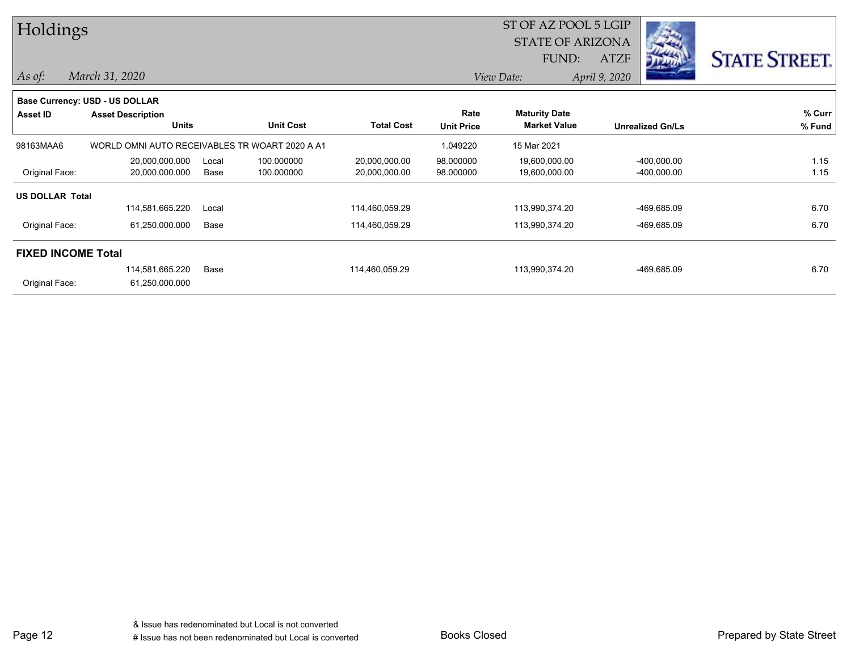| Holdings                  |                                                |       |                  |                   |                   | ST OF AZ POOL 5 LGIP    |               |                         |                      |
|---------------------------|------------------------------------------------|-------|------------------|-------------------|-------------------|-------------------------|---------------|-------------------------|----------------------|
|                           |                                                |       |                  |                   |                   | <b>STATE OF ARIZONA</b> |               |                         |                      |
|                           |                                                |       |                  |                   |                   | FUND:                   | <b>ATZF</b>   |                         | <b>STATE STREET.</b> |
| $As$ of:                  | March 31, 2020                                 |       |                  |                   |                   | View Date:              | April 9, 2020 |                         |                      |
|                           | <b>Base Currency: USD - US DOLLAR</b>          |       |                  |                   |                   |                         |               |                         |                      |
| <b>Asset ID</b>           | <b>Asset Description</b>                       |       |                  |                   | Rate              | <b>Maturity Date</b>    |               |                         | % Curr               |
|                           | <b>Units</b>                                   |       | <b>Unit Cost</b> | <b>Total Cost</b> | <b>Unit Price</b> | <b>Market Value</b>     |               | <b>Unrealized Gn/Ls</b> | % Fund               |
| 98163MAA6                 | WORLD OMNI AUTO RECEIVABLES TR WOART 2020 A A1 |       |                  |                   | 1.049220          | 15 Mar 2021             |               |                         |                      |
|                           | 20,000,000.000                                 | Local | 100.000000       | 20,000,000.00     | 98.000000         | 19,600,000.00           |               | $-400,000.00$           | 1.15                 |
| Original Face:            | 20,000,000.000                                 | Base  | 100.000000       | 20,000,000.00     | 98.000000         | 19,600,000.00           |               | -400,000.00             | 1.15                 |
| <b>US DOLLAR Total</b>    |                                                |       |                  |                   |                   |                         |               |                         |                      |
|                           | 114,581,665.220                                | Local |                  | 114,460,059.29    |                   | 113,990,374.20          |               | -469,685.09             | 6.70                 |
| Original Face:            | 61,250,000.000                                 | Base  |                  | 114,460,059.29    |                   | 113,990,374.20          |               | -469,685.09             | 6.70                 |
| <b>FIXED INCOME Total</b> |                                                |       |                  |                   |                   |                         |               |                         |                      |
|                           | 114,581,665.220                                | Base  |                  | 114,460,059.29    |                   | 113,990,374.20          |               | -469,685.09             | 6.70                 |
| Original Face:            | 61,250,000.000                                 |       |                  |                   |                   |                         |               |                         |                      |

Page 12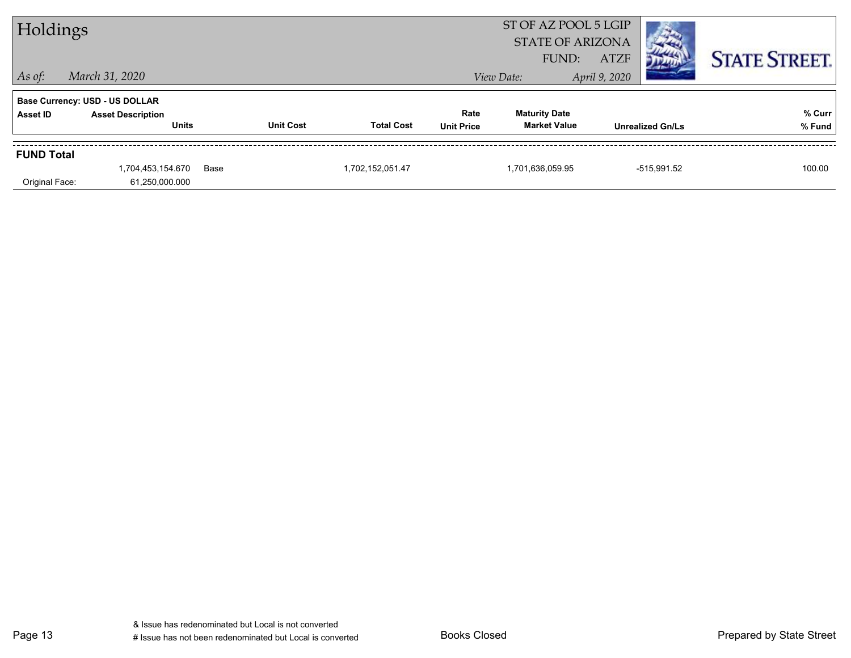| Holdings          |                                                                   |      |                  | ST OF AZ POOL 5 LGIP<br><b>STATE OF ARIZONA</b> |                   |                      |                              |                      |
|-------------------|-------------------------------------------------------------------|------|------------------|-------------------------------------------------|-------------------|----------------------|------------------------------|----------------------|
| $\vert$ As of:    | March 31, 2020                                                    |      |                  |                                                 |                   | FUND:<br>View Date:  | <b>ATZF</b><br>April 9, 2020 | <b>STATE STREET.</b> |
| Asset ID          | <b>Base Currency: USD - US DOLLAR</b><br><b>Asset Description</b> |      |                  |                                                 | Rate              | <b>Maturity Date</b> |                              | % Curr               |
|                   | <b>Units</b>                                                      |      | <b>Unit Cost</b> | <b>Total Cost</b>                               | <b>Unit Price</b> | <b>Market Value</b>  | <b>Unrealized Gn/Ls</b>      | % Fund               |
| <b>FUND Total</b> |                                                                   |      |                  |                                                 |                   |                      |                              |                      |
| Original Face:    | 1,704,453,154.670<br>61,250,000.000                               | Base |                  | 1,702,152,051.47                                |                   | 1,701,636,059.95     | -515,991.52                  | 100.00               |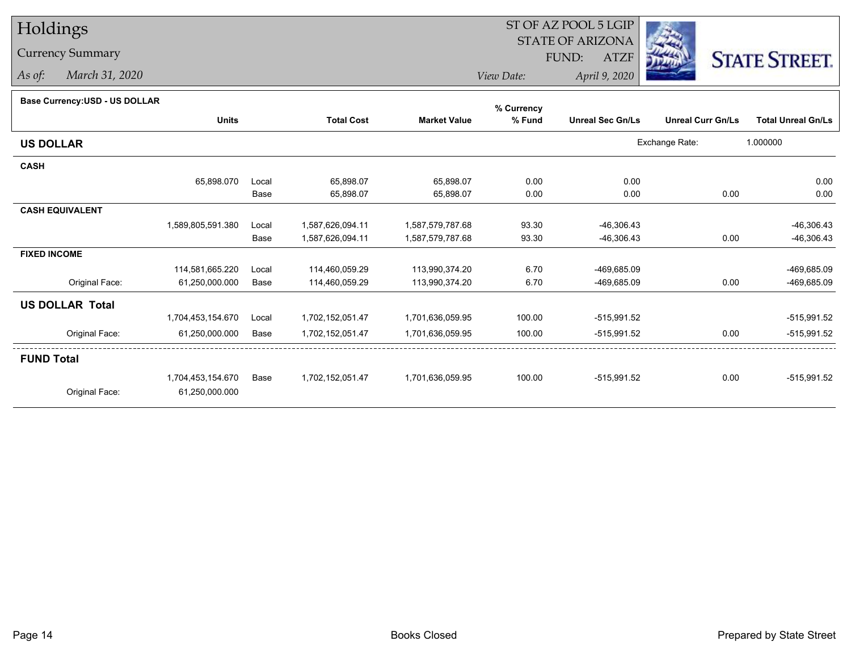## Holdings

## Currency Summary

*As of: March 31, 2020*

## ST OF AZ POOL 5 LGIP STATE OF ARIZONAATZF FUND:



*View Date:April 9, 2020*

| Dase Currency.COD - OO DOLLAR |                   |       |                   |                     | % Currency |                         |                          |                           |
|-------------------------------|-------------------|-------|-------------------|---------------------|------------|-------------------------|--------------------------|---------------------------|
|                               | <b>Units</b>      |       | <b>Total Cost</b> | <b>Market Value</b> | % Fund     | <b>Unreal Sec Gn/Ls</b> | <b>Unreal Curr Gn/Ls</b> | <b>Total Unreal Gn/Ls</b> |
| <b>US DOLLAR</b>              |                   |       |                   |                     |            |                         | Exchange Rate:           | 1.000000                  |
| <b>CASH</b>                   |                   |       |                   |                     |            |                         |                          |                           |
|                               | 65,898.070        | Local | 65,898.07         | 65,898.07           | 0.00       | 0.00                    |                          | 0.00                      |
|                               |                   | Base  | 65,898.07         | 65,898.07           | 0.00       | 0.00                    | 0.00                     | 0.00                      |
| <b>CASH EQUIVALENT</b>        |                   |       |                   |                     |            |                         |                          |                           |
|                               | 1,589,805,591.380 | Local | 1,587,626,094.11  | 1,587,579,787.68    | 93.30      | $-46,306.43$            |                          | $-46,306.43$              |
|                               |                   | Base  | 1,587,626,094.11  | 1,587,579,787.68    | 93.30      | $-46,306.43$            | 0.00                     | $-46,306.43$              |
| <b>FIXED INCOME</b>           |                   |       |                   |                     |            |                         |                          |                           |
|                               | 114,581,665.220   | Local | 114,460,059.29    | 113,990,374.20      | 6.70       | -469,685.09             |                          | -469,685.09               |
| Original Face:                | 61,250,000.000    | Base  | 114,460,059.29    | 113,990,374.20      | 6.70       | -469,685.09             | 0.00                     | -469,685.09               |
| <b>US DOLLAR Total</b>        |                   |       |                   |                     |            |                         |                          |                           |
|                               | 1,704,453,154.670 | Local | 1,702,152,051.47  | 1,701,636,059.95    | 100.00     | $-515,991.52$           |                          | -515,991.52               |
| Original Face:                | 61,250,000.000    | Base  | 1,702,152,051.47  | 1,701,636,059.95    | 100.00     | -515,991.52             | 0.00                     | $-515,991.52$             |
| <b>FUND Total</b>             |                   |       |                   |                     |            |                         |                          |                           |
|                               | 1,704,453,154.670 | Base  | 1,702,152,051.47  | 1,701,636,059.95    | 100.00     | -515,991.52             | 0.00                     | $-515,991.52$             |
| Original Face:                | 61,250,000.000    |       |                   |                     |            |                         |                          |                           |
|                               |                   |       |                   |                     |            |                         |                          |                           |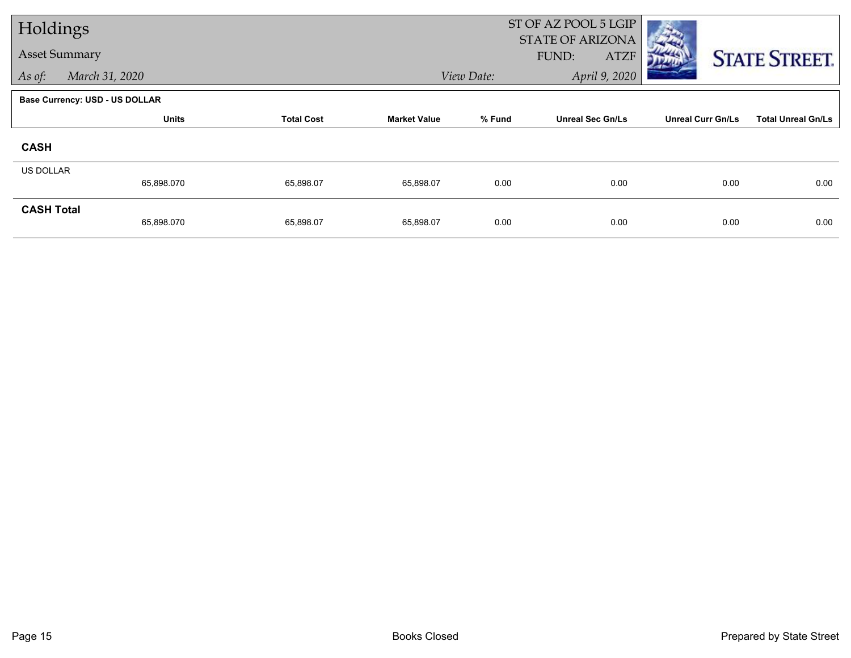| Holdings             |                                       |           |                     |                             | ST OF AZ POOL 5 LGIP<br><b>STATE OF ARIZONA</b> |                          |                           |  |
|----------------------|---------------------------------------|-----------|---------------------|-----------------------------|-------------------------------------------------|--------------------------|---------------------------|--|
| <b>Asset Summary</b> |                                       |           |                     |                             | <b>ATZF</b><br>FUND:                            | <b>STATE STREET.</b>     |                           |  |
| As of:               | March 31, 2020                        |           |                     | April 9, 2020<br>View Date: |                                                 |                          |                           |  |
|                      | <b>Base Currency: USD - US DOLLAR</b> |           |                     |                             |                                                 |                          |                           |  |
|                      | <b>Units</b><br><b>Total Cost</b>     |           | <b>Market Value</b> | % Fund                      | <b>Unreal Sec Gn/Ls</b>                         | <b>Unreal Curr Gn/Ls</b> | <b>Total Unreal Gn/Ls</b> |  |
| <b>CASH</b>          |                                       |           |                     |                             |                                                 |                          |                           |  |
| <b>US DOLLAR</b>     | 65,898.070                            | 65,898.07 | 65,898.07           | 0.00                        | 0.00                                            | 0.00                     | 0.00                      |  |
| <b>CASH Total</b>    | 65,898.070                            | 65,898.07 | 65,898.07           | 0.00                        | 0.00                                            | 0.00                     | 0.00                      |  |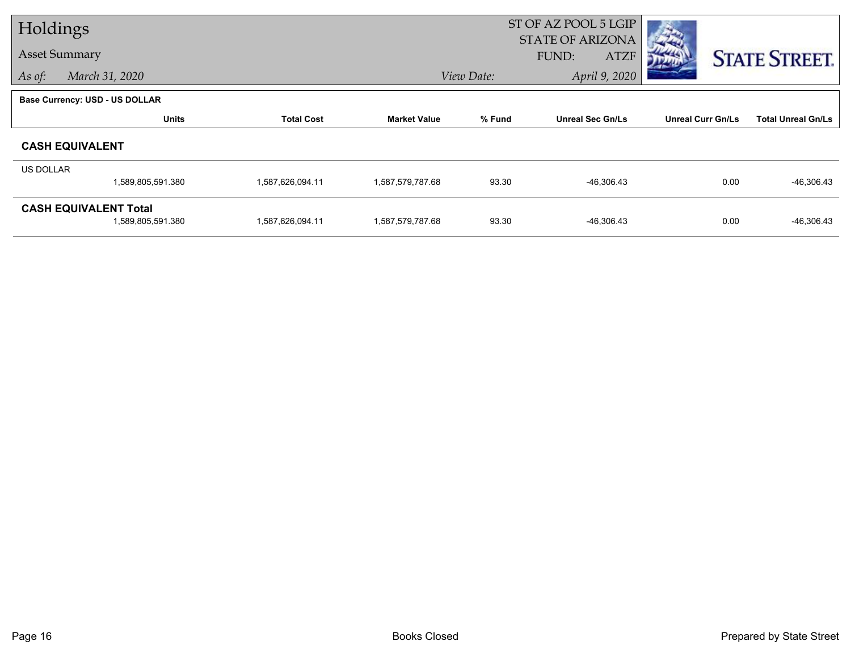| Holdings             |                                                   |                   |                     | ST OF AZ POOL 5 LGIP<br><b>STATE OF ARIZONA</b> |                             |                          |                           |  |
|----------------------|---------------------------------------------------|-------------------|---------------------|-------------------------------------------------|-----------------------------|--------------------------|---------------------------|--|
| <b>Asset Summary</b> |                                                   |                   |                     |                                                 | <b>FUND:</b><br><b>ATZF</b> |                          | <b>STATE STREET.</b>      |  |
| As of:               | March 31, 2020                                    |                   |                     | April 9, 2020<br>View Date:                     |                             |                          |                           |  |
|                      | Base Currency: USD - US DOLLAR                    |                   |                     |                                                 |                             |                          |                           |  |
|                      | <b>Units</b>                                      | <b>Total Cost</b> | <b>Market Value</b> | % Fund                                          | <b>Unreal Sec Gn/Ls</b>     | <b>Unreal Curr Gn/Ls</b> | <b>Total Unreal Gn/Ls</b> |  |
|                      | <b>CASH EQUIVALENT</b>                            |                   |                     |                                                 |                             |                          |                           |  |
| US DOLLAR            |                                                   |                   |                     |                                                 |                             |                          |                           |  |
|                      | 1,589,805,591.380                                 | 1,587,626,094.11  | 1,587,579,787.68    | 93.30                                           | $-46,306.43$                | 0.00                     | $-46,306.43$              |  |
|                      | <b>CASH EQUIVALENT Total</b><br>1,589,805,591.380 | 1,587,626,094.11  | 1,587,579,787.68    | 93.30                                           | -46,306.43                  | 0.00                     | $-46,306.43$              |  |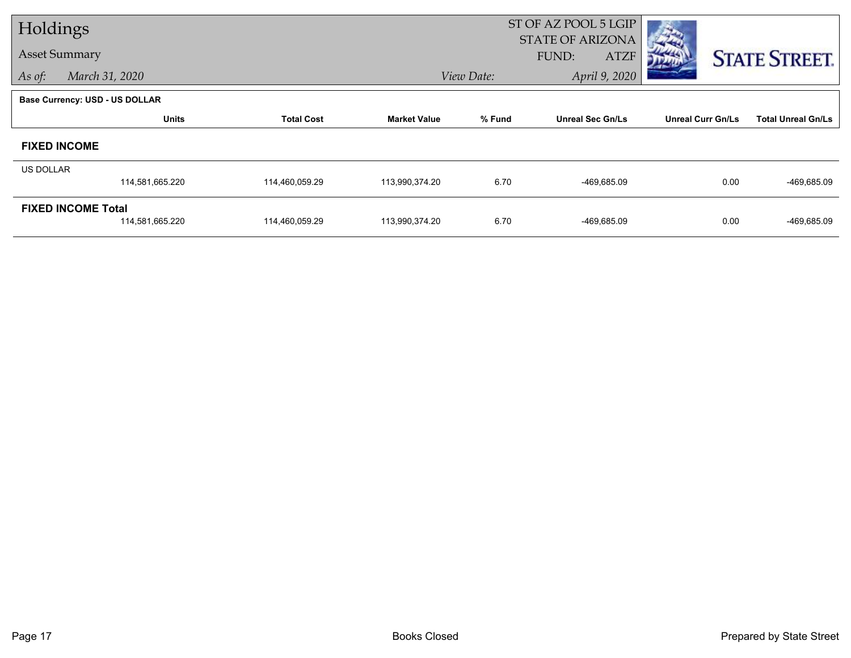| Holdings             |                                              |                   |                     | ST OF AZ POOL 5 LGIP<br><b>STATE OF ARIZONA</b> |                         |                          |                           |  |
|----------------------|----------------------------------------------|-------------------|---------------------|-------------------------------------------------|-------------------------|--------------------------|---------------------------|--|
| <b>Asset Summary</b> |                                              |                   |                     |                                                 | FUND:<br><b>ATZF</b>    |                          | <b>STATE STREET.</b>      |  |
| As of:               | View Date:<br>March 31, 2020                 |                   |                     |                                                 | April 9, 2020           |                          |                           |  |
|                      | <b>Base Currency: USD - US DOLLAR</b>        |                   |                     |                                                 |                         |                          |                           |  |
|                      | <b>Units</b>                                 | <b>Total Cost</b> | <b>Market Value</b> | % Fund                                          | <b>Unreal Sec Gn/Ls</b> | <b>Unreal Curr Gn/Ls</b> | <b>Total Unreal Gn/Ls</b> |  |
|                      | <b>FIXED INCOME</b>                          |                   |                     |                                                 |                         |                          |                           |  |
| <b>US DOLLAR</b>     |                                              |                   |                     |                                                 |                         |                          |                           |  |
|                      | 114,581,665.220                              | 114,460,059.29    | 113,990,374.20      | 6.70                                            | -469,685.09             | 0.00                     | -469,685.09               |  |
|                      | <b>FIXED INCOME Total</b><br>114,581,665.220 | 114,460,059.29    | 113,990,374.20      | 6.70                                            | -469,685.09             | 0.00                     | -469,685.09               |  |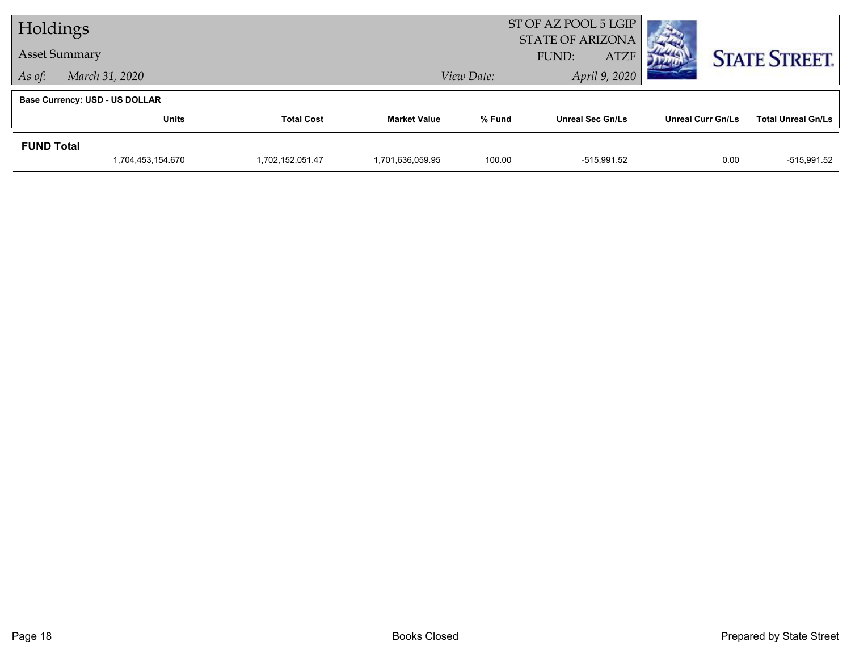| Holdings                 |                                       |                  |                     |                      | ST OF AZ POOL 5 LGIP<br><b>STATE OF ARIZONA</b> |                          |                           |  |
|--------------------------|---------------------------------------|------------------|---------------------|----------------------|-------------------------------------------------|--------------------------|---------------------------|--|
| <b>Asset Summary</b>     |                                       |                  |                     | <b>ATZF</b><br>FUND: |                                                 |                          | <b>STATE STREET.</b>      |  |
| March 31, 2020<br>As of: |                                       |                  |                     | View Date:           | April 9, 2020                                   |                          |                           |  |
|                          | <b>Base Currency: USD - US DOLLAR</b> |                  |                     |                      |                                                 |                          |                           |  |
|                          | <b>Units</b><br><b>Total Cost</b>     |                  | <b>Market Value</b> | % Fund               | <b>Unreal Sec Gn/Ls</b>                         | <b>Unreal Curr Gn/Ls</b> | <b>Total Unreal Gn/Ls</b> |  |
| <b>FUND Total</b>        |                                       |                  |                     |                      |                                                 |                          |                           |  |
|                          | 1.704.453.154.670                     | 1,702,152,051.47 | 1.701.636.059.95    | 100.00               | -515,991.52                                     | 0.00                     | -515.991.52               |  |